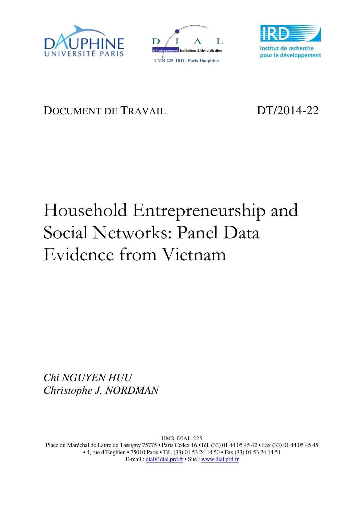





## DOCUMENT DE TRAVAIL DT/2014-22

# Household Entrepreneurship and Social Networks: Panel Data Evidence from Vietnam

*Chi NGUYEN HUU Christophe J. NORDMAN* 

UMR DIAL 225 Place du Maréchal de Lattre de Tassigny 75775 • Paris Cedex 16 •Tél. (33) 01 44 05 45 42 • Fax (33) 01 44 05 45 45 • 4, rue d'Enghien • 75010 Paris • Tél. (33) 01 53 24 14 50 • Fax (33) 01 53 24 14 51 E-mail : dial@dial.prd.fr • Site : www.dial.prd.fr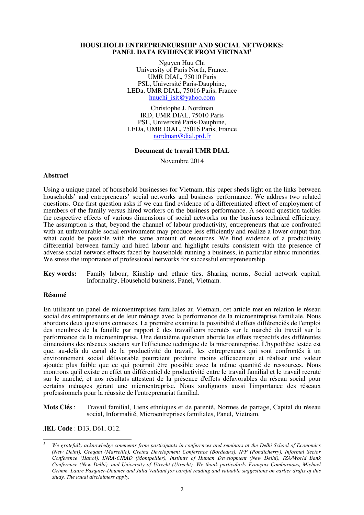#### **HOUSEHOLD ENTREPRENEURSHIP AND SOCIAL NETWORKS: PANEL DATA EVIDENCE FROM VIETNAM<sup>1</sup>**

Nguyen Huu Chi University of Paris North, France, UMR DIAL, 75010 Paris PSL, Université Paris-Dauphine, LEDa, UMR DIAL, 75016 Paris, France huuchi\_isit@yahoo.com

Christophe J. Nordman IRD, UMR DIAL, 75010 Paris PSL, Université Paris-Dauphine, LEDa, UMR DIAL, 75016 Paris, France nordman@dial.prd.fr

#### **Document de travail UMR DIAL**

Novembre 2014

#### **Abstract**

Using a unique panel of household businesses for Vietnam, this paper sheds light on the links between households' and entrepreneurs' social networks and business performance. We address two related questions. One first question asks if we can find evidence of a differentiated effect of employment of members of the family versus hired workers on the business performance. A second question tackles the respective effects of various dimensions of social networks on the business technical efficiency. The assumption is that, beyond the channel of labour productivity, entrepreneurs that are confronted with an unfavourable social environment may produce less efficiently and realize a lower output than what could be possible with the same amount of resources. We find evidence of a productivity differential between family and hired labour and highlight results consistent with the presence of adverse social network effects faced by households running a business, in particular ethnic minorities. We stress the importance of professional networks for successful entrepreneurship.

**Key words:** Family labour, Kinship and ethnic ties, Sharing norms, Social network capital, Informality, Household business, Panel, Vietnam.

#### **Résumé**

֦

En utilisant un panel de microentreprises familiales au Vietnam, cet article met en relation le réseau social des entrepreneurs et de leur ménage avec la performance de la microentreprise familiale. Nous abordons deux questions connexes. La première examine la possibilité d'effets différenciés de l'emploi des membres de la famille par rapport à des travailleurs recrutés sur le marché du travail sur la performance de la microentreprise. Une deuxième question aborde les effets respectifs des différentes dimensions des réseaux sociaux sur l'efficience technique de la microentreprise. L'hypothèse testée est que, au-delà du canal de la productivité du travail, les entrepreneurs qui sont confrontés à un environnement social défavorable pourraient produire moins efficacement et réaliser une valeur ajoutée plus faible que ce qui pourrait être possible avec la même quantité de ressources. Nous montrons qu'il existe en effet un différentiel de productivité entre le travail familial et le travail recruté sur le marché, et nos résultats attestent de la présence d'effets défavorables du réseau social pour certains ménages gérant une microentreprise. Nous soulignons aussi l'importance des réseaux professionnels pour la réussite de l'entreprenariat familial.

**Mots Clés** : Travail familial, Liens ethniques et de parenté, Normes de partage, Capital du réseau social, Informalité, Microentreprises familiales, Panel, Vietnam.

**JEL Code** : D13, D61, O12.

*<sup>1</sup> We gratefully acknowledge comments from participants in conferences and seminars at the Delhi School of Economics (New Delhi), Greqam (Marseille), Gretha Development Conference (Bordeaux), IFP (Pondicherry), Informal Sector Conference (Hanoi), INRA-CIRAD (Montpellier), Institute of Human Development (New Delhi), IZA/World Bank Conference (New Delhi), and University of Utrecht (Utrecht). We thank particularly François Combarnous, Michael Grimm, Laure Pasquier-Doumer and Julia Vaillant for careful reading and valuable suggestions on earlier drafts of this study. The usual disclaimers apply.*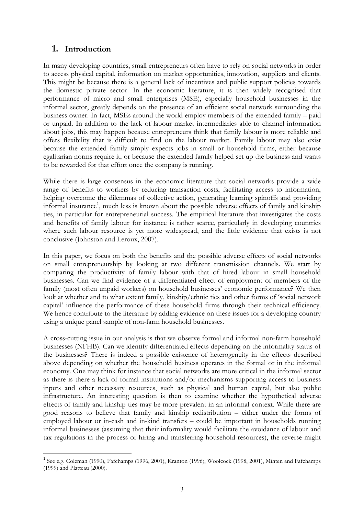#### 1. Introduction

l

In many developing countries, small entrepreneurs often have to rely on social networks in order to access physical capital, information on market opportunities, innovation, suppliers and clients. This might be because there is a general lack of incentives and public support policies towards the domestic private sector. In the economic literature, it is then widely recognised that performance of micro and small enterprises (MSE), especially household businesses in the informal sector, greatly depends on the presence of an efficient social network surrounding the business owner. In fact, MSEs around the world employ members of the extended family – paid or unpaid. In addition to the lack of labour market intermediaries able to channel information about jobs, this may happen because entrepreneurs think that family labour is more reliable and offers flexibility that is difficult to find on the labour market. Family labour may also exist because the extended family simply expects jobs in small or household firms, either because egalitarian norms require it, or because the extended family helped set up the business and wants to be rewarded for that effort once the company is running.

While there is large consensus in the economic literature that social networks provide a wide range of benefits to workers by reducing transaction costs, facilitating access to information, helping overcome the dilemmas of collective action, generating learning spinoffs and providing informal insurance<sup>1</sup>, much less is known about the possible adverse effects of family and kinship ties, in particular for entrepreneurial success. The empirical literature that investigates the costs and benefits of family labour for instance is rather scarce, particularly in developing countries where such labour resource is yet more widespread, and the little evidence that exists is not conclusive (Johnston and Leroux, 2007).

In this paper, we focus on both the benefits and the possible adverse effects of social networks on small entrepreneurship by looking at two different transmission channels. We start by comparing the productivity of family labour with that of hired labour in small household businesses. Can we find evidence of a differentiated effect of employment of members of the family (most often unpaid workers) on household businesses' economic performance? We then look at whether and to what extent family, kinship/ethnic ties and other forms of 'social network capital' influence the performance of these household firms through their technical efficiency. We hence contribute to the literature by adding evidence on these issues for a developing country using a unique panel sample of non-farm household businesses.

A cross-cutting issue in our analysis is that we observe formal and informal non-farm household businesses (NFHB). Can we identify differentiated effects depending on the informality status of the businesses? There is indeed a possible existence of heterogeneity in the effects described above depending on whether the household business operates in the formal or in the informal economy. One may think for instance that social networks are more critical in the informal sector as there is there a lack of formal institutions and/or mechanisms supporting access to business inputs and other necessary resources, such as physical and human capital, but also public infrastructure. An interesting question is then to examine whether the hypothetical adverse effects of family and kinship ties may be more prevalent in an informal context. While there are good reasons to believe that family and kinship redistribution – either under the forms of employed labour or in-cash and in-kind transfers – could be important in households running informal businesses (assuming that their informality would facilitate the avoidance of labour and tax regulations in the process of hiring and transferring household resources), the reverse might

<sup>&</sup>lt;sup>1</sup> See e.g. Coleman (1990), Fafchamps (1996, 2001), Kranton (1996), Woolcock (1998, 2001), Minten and Fafchamps (1999) and Platteau (2000).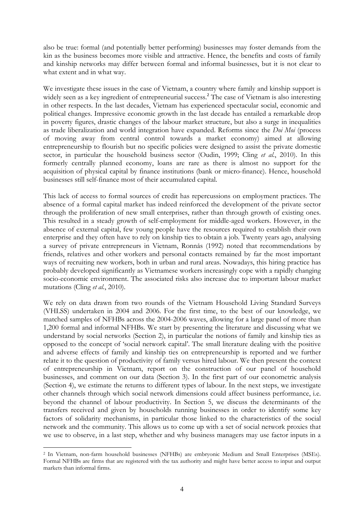also be true: formal (and potentially better performing) businesses may foster demands from the kin as the business becomes more visible and attractive. Hence, the benefits and costs of family and kinship networks may differ between formal and informal businesses, but it is not clear to what extent and in what way.

We investigate these issues in the case of Vietnam, a country where family and kinship support is widely seen as a key ingredient of entrepreneurial success. 2 The case of Vietnam is also interesting in other respects. In the last decades, Vietnam has experienced spectacular social, economic and political changes. Impressive economic growth in the last decade has entailed a remarkable drop in poverty figures, drastic changes of the labour market structure, but also a surge in inequalities as trade liberalization and world integration have expanded. Reforms since the Doi Moi (process of moving away from central control towards a market economy) aimed at allowing entrepreneurship to flourish but no specific policies were designed to assist the private domestic sector, in particular the household business sector (Oudin, 1999; Cling et al., 2010). In this formerly centrally planned economy, loans are rare as there is almost no support for the acquisition of physical capital by finance institutions (bank or micro-finance). Hence, household businesses still self-finance most of their accumulated capital.

This lack of access to formal sources of credit has repercussions on employment practices. The absence of a formal capital market has indeed reinforced the development of the private sector through the proliferation of new small enterprises, rather than through growth of existing ones. This resulted in a steady growth of self-employment for middle-aged workers. However, in the absence of external capital, few young people have the resources required to establish their own enterprise and they often have to rely on kinship ties to obtain a job. Twenty years ago, analysing a survey of private entrepreneurs in Vietnam, Ronnås (1992) noted that recommendations by friends, relatives and other workers and personal contacts remained by far the most important ways of recruiting new workers, both in urban and rural areas. Nowadays, this hiring practice has probably developed significantly as Vietnamese workers increasingly cope with a rapidly changing socio-economic environment. The associated risks also increase due to important labour market mutations (Cling *et al.*, 2010).

We rely on data drawn from two rounds of the Vietnam Household Living Standard Surveys (VHLSS) undertaken in 2004 and 2006. For the first time, to the best of our knowledge, we matched samples of NFHBs across the 2004-2006 waves, allowing for a large panel of more than 1,200 formal and informal NFHBs. We start by presenting the literature and discussing what we understand by social networks (Section 2), in particular the notions of family and kinship ties as opposed to the concept of 'social network capital'. The small literature dealing with the positive and adverse effects of family and kinship ties on entrepreneurship is reported and we further relate it to the question of productivity of family versus hired labour. We then present the context of entrepreneurship in Vietnam, report on the construction of our panel of household businesses, and comment on our data (Section 3). In the first part of our econometric analysis (Section 4), we estimate the returns to different types of labour. In the next steps, we investigate other channels through which social network dimensions could affect business performance, i.e. beyond the channel of labour productivity. In Section 5, we discuss the determinants of the transfers received and given by households running businesses in order to identify some key factors of solidarity mechanisms, in particular those linked to the characteristics of the social network and the community. This allows us to come up with a set of social network proxies that we use to observe, in a last step, whether and why business managers may use factor inputs in a

<sup>2</sup> In Vietnam, non-farm household businesses (NFHBs) are embryonic Medium and Small Enterprises (MSEs). Formal NFHBs are firms that are registered with the tax authority and might have better access to input and output markets than informal firms.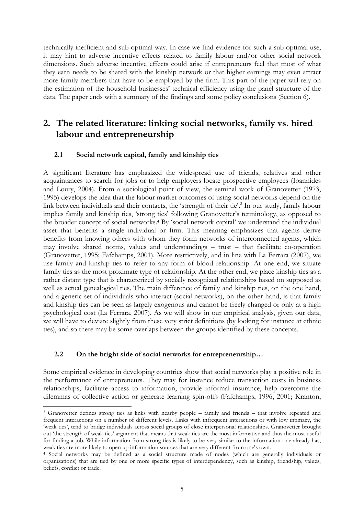technically inefficient and sub-optimal way. In case we find evidence for such a sub-optimal use, it may hint to adverse incentive effects related to family labour and/or other social network dimensions. Such adverse incentive effects could arise if entrepreneurs feel that most of what they earn needs to be shared with the kinship network or that higher earnings may even attract more family members that have to be employed by the firm. This part of the paper will rely on the estimation of the household businesses' technical efficiency using the panel structure of the data. The paper ends with a summary of the findings and some policy conclusions (Section 6).

## 2. The related literature: linking social networks, family vs. hired labour and entrepreneurship

#### 2.1 Social network capital, family and kinship ties

A significant literature has emphasized the widespread use of friends, relatives and other acquaintances to search for jobs or to help employers locate prospective employees (Ioannides and Loury, 2004). From a sociological point of view, the seminal work of Granovetter (1973, 1995) develops the idea that the labour market outcomes of using social networks depend on the link between individuals and their contacts, the 'strength of their tie'.<sup>3</sup> In our study, family labour implies family and kinship ties, 'strong ties' following Granovetter's terminology, as opposed to the broader concept of social networks.<sup>4</sup> By 'social network capital' we understand the individual asset that benefits a single individual or firm. This meaning emphasizes that agents derive benefits from knowing others with whom they form networks of interconnected agents, which may involve shared norms, values and understandings – trust – that facilitate co-operation (Granovetter, 1995; Fafchamps, 2001). More restrictively, and in line with La Ferrara (2007), we use family and kinship ties to refer to any form of blood relationship. At one end, we situate family ties as the most proximate type of relationship. At the other end, we place kinship ties as a rather distant type that is characterized by socially recognized relationships based on supposed as well as actual genealogical ties. The main difference of family and kinship ties, on the one hand, and a generic set of individuals who interact (social networks), on the other hand, is that family and kinship ties can be seen as largely exogenous and cannot be freely changed or only at a high psychological cost (La Ferrara, 2007). As we will show in our empirical analysis, given our data, we will have to deviate slightly from these very strict definitions (by looking for instance at ethnic ties), and so there may be some overlaps between the groups identified by these concepts.

#### 2.2 On the bright side of social networks for entrepreneurship…

 $\overline{a}$ 

Some empirical evidence in developing countries show that social networks play a positive role in the performance of entrepreneurs. They may for instance reduce transaction costs in business relationships, facilitate access to information, provide informal insurance, help overcome the dilemmas of collective action or generate learning spin-offs (Fafchamps, 1996, 2001; Kranton,

<sup>3</sup> Granovetter defines strong ties as links with nearby people – family and friends – that involve repeated and frequent interactions on a number of different levels. Links with infrequent interactions or with low intimacy, the 'weak ties', tend to bridge individuals across social groups of close interpersonal relationships. Granovetter brought out 'the strength of weak ties' argument that means that weak ties are the most informative and thus the most useful for finding a job. While information from strong ties is likely to be very similar to the information one already has, weak ties are more likely to open up information sources that are very different from one's own.

<sup>4</sup> Social networks may be defined as a social structure made of nodes (which are generally individuals or organizations) that are tied by one or more specific types of interdependency, such as kinship, friendship, values, beliefs, conflict or trade.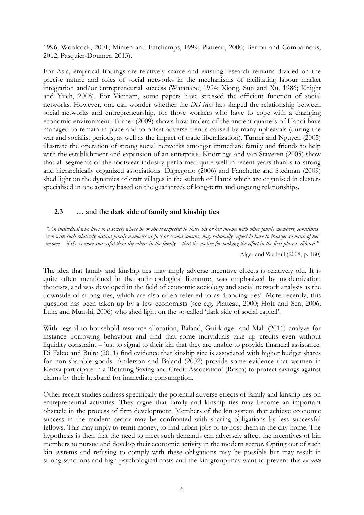1996; Woolcock, 2001; Minten and Fafchamps, 1999; Platteau, 2000; Berrou and Combarnous, 2012; Pasquier-Doumer, 2013).

For Asia, empirical findings are relatively scarce and existing research remains divided on the precise nature and roles of social networks in the mechanisms of facilitating labour market integration and/or entrepreneurial success (Watanabe, 1994; Xiong, Sun and Xu, 1986; Knight and Yueh, 2008). For Vietnam, some papers have stressed the efficient function of social networks. However, one can wonder whether the *Doi Moi* has shaped the relationship between social networks and entrepreneurship, for those workers who have to cope with a changing economic environment. Turner (2009) shows how traders of the ancient quarters of Hanoi have managed to remain in place and to offset adverse trends caused by many upheavals (during the war and socialist periods, as well as the impact of trade liberalization). Turner and Nguyen (2005) illustrate the operation of strong social networks amongst immediate family and friends to help with the establishment and expansion of an enterprise. Knorringa and van Staveren (2005) show that all segments of the footwear industry performed quite well in recent years thanks to strong and hierarchically organized associations. Digregorio (2006) and Fanchette and Stedman (2009) shed light on the dynamics of craft villages in the suburb of Hanoi which are organised in clusters specialised in one activity based on the guarantees of long-term and ongoing relationships.

#### 2.3 … and the dark side of family and kinship ties

"An individual who lives in a society where he or she is expected to share his or her income with other family members, sometimes even with such relatively distant family members as first or second cousins, may rationally expect to have to transfer so much of her income—if she is more successful than the others in the family—that the motive for making the effort in the first place is diluted."

Alger and Weibull (2008, p. 180)

The idea that family and kinship ties may imply adverse incentive effects is relatively old. It is quite often mentioned in the anthropological literature, was emphasized by modernization theorists, and was developed in the field of economic sociology and social network analysis as the downside of strong ties, which are also often referred to as 'bonding ties'. More recently, this question has been taken up by a few economists (see e.g. Platteau, 2000; Hoff and Sen, 2006; Luke and Munshi, 2006) who shed light on the so-called 'dark side of social capital'.

With regard to household resource allocation, Baland, Guirkinger and Mali (2011) analyze for instance borrowing behaviour and find that some individuals take up credits even without liquidity constraint – just to signal to their kin that they are unable to provide financial assistance. Di Falco and Bulte (2011) find evidence that kinship size is associated with higher budget shares for non-sharable goods. Anderson and Baland (2002) provide some evidence that women in Kenya participate in a 'Rotating Saving and Credit Association' (Rosca) to protect savings against claims by their husband for immediate consumption.

Other recent studies address specifically the potential adverse effects of family and kinship ties on entrepreneurial activities. They argue that family and kinship ties may become an important obstacle in the process of firm development. Members of the kin system that achieve economic success in the modern sector may be confronted with sharing obligations by less successful fellows. This may imply to remit money, to find urban jobs or to host them in the city home. The hypothesis is then that the need to meet such demands can adversely affect the incentives of kin members to pursue and develop their economic activity in the modern sector. Opting out of such kin systems and refusing to comply with these obligations may be possible but may result in strong sanctions and high psychological costs and the kin group may want to prevent this ex ante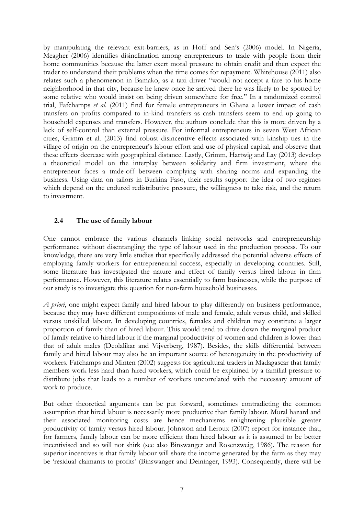by manipulating the relevant exit-barriers, as in Hoff and Sen's (2006) model. In Nigeria, Meagher (2006) identifies disinclination among entrepreneurs to trade with people from their home communities because the latter exert moral pressure to obtain credit and then expect the trader to understand their problems when the time comes for repayment. Whitehouse (2011) also relates such a phenomenon in Bamako, as a taxi driver "would not accept a fare to his home neighborhood in that city, because he knew once he arrived there he was likely to be spotted by some relative who would insist on being driven somewhere for free." In a randomized control trial, Fafchamps et al. (2011) find for female entrepreneurs in Ghana a lower impact of cash transfers on profits compared to in-kind transfers as cash transfers seem to end up going to household expenses and transfers. However, the authors conclude that this is more driven by a lack of self-control than external pressure. For informal entrepreneurs in seven West African cities, Grimm et al. (2013) find robust disincentive effects associated with kinship ties in the village of origin on the entrepreneur's labour effort and use of physical capital, and observe that these effects decrease with geographical distance. Lastly, Grimm, Hartwig and Lay (2013) develop a theoretical model on the interplay between solidarity and firm investment, where the entrepreneur faces a trade-off between complying with sharing norms and expanding the business. Using data on tailors in Burkina Faso, their results support the idea of two regimes which depend on the endured redistributive pressure, the willingness to take risk, and the return to investment.

#### 2.4 The use of family labour

One cannot embrace the various channels linking social networks and entrepreneurship performance without disentangling the type of labour used in the production process. To our knowledge, there are very little studies that specifically addressed the potential adverse effects of employing family workers for entrepreneurial success, especially in developing countries. Still, some literature has investigated the nature and effect of family versus hired labour in firm performance. However, this literature relates essentially to farm businesses, while the purpose of our study is to investigate this question for non-farm household businesses.

A priori, one might expect family and hired labour to play differently on business performance, because they may have different compositions of male and female, adult versus child, and skilled versus unskilled labour. In developing countries, females and children may constitute a larger proportion of family than of hired labour. This would tend to drive down the marginal product of family relative to hired labour if the marginal productivity of women and children is lower than that of adult males (Deolalikar and Vijverberg, 1987). Besides, the skills differential between family and hired labour may also be an important source of heterogeneity in the productivity of workers. Fafchamps and Minten (2002) suggests for agricultural traders in Madagascar that family members work less hard than hired workers, which could be explained by a familial pressure to distribute jobs that leads to a number of workers uncorrelated with the necessary amount of work to produce.

But other theoretical arguments can be put forward, sometimes contradicting the common assumption that hired labour is necessarily more productive than family labour. Moral hazard and their associated monitoring costs are hence mechanisms enlightening plausible greater productivity of family versus hired labour. Johnston and Leroux (2007) report for instance that, for farmers, family labour can be more efficient than hired labour as it is assumed to be better incentivised and so will not shirk (see also Binswanger and Rosenzweig, 1986). The reason for superior incentives is that family labour will share the income generated by the farm as they may be 'residual claimants to profits' (Binswanger and Deininger, 1993). Consequently, there will be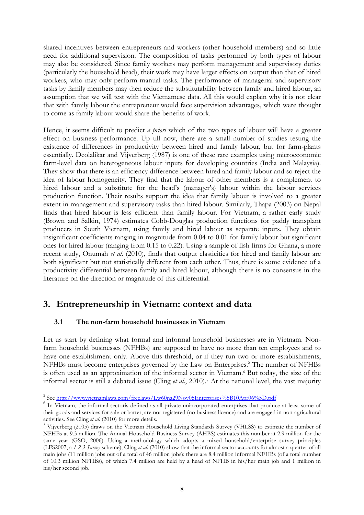shared incentives between entrepreneurs and workers (other household members) and so little need for additional supervision. The composition of tasks performed by both types of labour may also be considered. Since family workers may perform management and supervisory duties (particularly the household head), their work may have larger effects on output than that of hired workers, who may only perform manual tasks. The performance of managerial and supervisory tasks by family members may then reduce the substitutability between family and hired labour, an assumption that we will test with the Vietnamese data. All this would explain why it is not clear that with family labour the entrepreneur would face supervision advantages, which were thought to come as family labour would share the benefits of work.

Hence, it seems difficult to predict *a priori* which of the two types of labour will have a greater effect on business performance. Up till now, there are a small number of studies testing the existence of differences in productivity between hired and family labour, but for farm-plants essentially. Deolalikar and Vijverberg (1987) is one of these rare examples using microeconomic farm-level data on heterogeneous labour inputs for developing countries (India and Malaysia). They show that there is an efficiency difference between hired and family labour and so reject the idea of labour homogeneity. They find that the labour of other members is a complement to hired labour and a substitute for the head's (manager's) labour within the labour services production function. Their results support the idea that family labour is involved to a greater extent in management and supervisory tasks than hired labour. Similarly, Thapa (2003) on Nepal finds that hired labour is less efficient than family labour. For Vietnam, a rather early study (Brown and Salkin, 1974) estimates Cobb-Douglas production functions for paddy transplant producers in South Vietnam, using family and hired labour as separate inputs. They obtain insignificant coefficients ranging in magnitude from 0.04 to 0.01 for family labour but significant ones for hired labour (ranging from 0.15 to 0.22). Using a sample of fish firms for Ghana, a more recent study, Onumah et al. (2010), finds that output elasticities for hired and family labour are both significant but not statistically different from each other. Thus, there is some evidence of a productivity differential between family and hired labour, although there is no consensus in the literature on the direction or magnitude of this differential.

## 3. Entrepreneurship in Vietnam: context and data

#### 3.1 The non-farm household businesses in Vietnam

 $\overline{a}$ 

Let us start by defining what formal and informal household businesses are in Vietnam. Nonfarm household businesses (NFHBs) are supposed to have no more than ten employees and to have one establishment only. Above this threshold, or if they run two or more establishments, NFHBs must become enterprises governed by the Law on Enterprises.<sup>5</sup> The number of NFHBs is often used as an approximation of the informal sector in Vietnam.<sup>6</sup> But today, the size of the informal sector is still a debated issue (Cling et al., 2010).<sup>7</sup> At the national level, the vast majority

<sup>&</sup>lt;sup>5</sup> See http://www.vietnamlaws.com/freelaws/Lw60na29Nov05Enterprises%5B10Apr06%5D.pdf

<sup>&</sup>lt;sup>6</sup> In Vietnam, the informal sectoris defined as all private unincorporated enterprises that produce at least some of their goods and services for sale or barter, are not registered (no business licence) and are engaged in non-agricultural activities. See Cling et al. (2010) for more details.

<sup>&</sup>lt;sup>7</sup> Vijverberg (2005) draws on the Vietnam Household Living Standards Survey (VHLSS) to estimate the number of NFHBs at 9.3 million. The Annual Household Business Survey (AHBS) estimates this number at 2.9 million for the same year (GSO, 2006). Using a methodology which adopts a mixed household/enterprise survey principles (LFS2007, a 1-2-3 Survey scheme), Cling et al. (2010) show that the informal sector accounts for almost a quarter of all main jobs (11 million jobs out of a total of 46 million jobs): there are 8.4 million informal NFHBs (of a total number of 10.3 million NFHBs), of which 7.4 million are held by a head of NFHB in his/her main job and 1 million in his/her second job.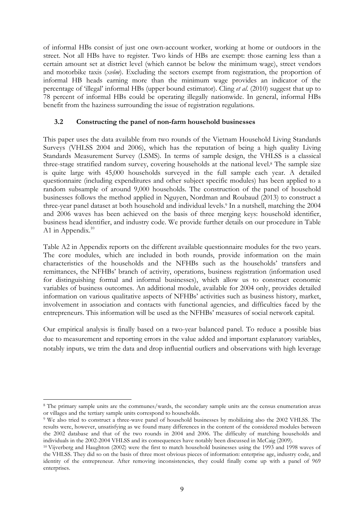of informal HBs consist of just one own-account worker, working at home or outdoors in the street. Not all HBs have to register. Two kinds of HBs are exempt: those earning less than a certain amount set at district level (which cannot be below the minimum wage), street vendors and motorbike taxis (*xeôm*). Excluding the sectors exempt from registration, the proportion of informal HB heads earning more than the minimum wage provides an indicator of the percentage of 'illegal' informal HBs (upper bound estimator). Cling et al. (2010) suggest that up to 78 percent of informal HBs could be operating illegally nationwide. In general, informal HBs benefit from the haziness surrounding the issue of registration regulations.

#### 3.2 Constructing the panel of non-farm household businesses

This paper uses the data available from two rounds of the Vietnam Household Living Standards Surveys (VHLSS 2004 and 2006), which has the reputation of being a high quality Living Standards Measurement Survey (LSMS). In terms of sample design, the VHLSS is a classical three-stage stratified random survey, covering households at the national level.<sup>8</sup> The sample size is quite large with 45,000 households surveyed in the full sample each year. A detailed questionnaire (including expenditures and other subject specific modules) has been applied to a random subsample of around 9,000 households. The construction of the panel of household businesses follows the method applied in Nguyen, Nordman and Roubaud (2013) to construct a three-year panel dataset at both household and individual levels.<sup>9</sup> In a nutshell, matching the 2004 and 2006 waves has been achieved on the basis of three merging keys: household identifier, business head identifier, and industry code. We provide further details on our procedure in Table A1 in Appendix. $10$ 

Table A2 in Appendix reports on the different available questionnaire modules for the two years. The core modules, which are included in both rounds, provide information on the main characteristics of the households and the NFHBs such as the households' transfers and remittances, the NFHBs' branch of activity, operations, business registration (information used for distinguishing formal and informal businesses), which allow us to construct economic variables of business outcomes. An additional module, available for 2004 only, provides detailed information on various qualitative aspects of NFHBs' activities such as business history, market, involvement in association and contacts with functional agencies, and difficulties faced by the entrepreneurs. This information will be used as the NFHBs' measures of social network capital.

Our empirical analysis is finally based on a two-year balanced panel. To reduce a possible bias due to measurement and reporting errors in the value added and important explanatory variables, notably inputs, we trim the data and drop influential outliers and observations with high leverage

<sup>8</sup> The primary sample units are the communes/wards, the secondary sample units are the census enumeration areas or villages and the tertiary sample units correspond to households.

<sup>9</sup> We also tried to construct a three-wave panel of household businesses by mobilizing also the 2002 VHLSS. The results were, however, unsatisfying as we found many differences in the content of the considered modules between the 2002 database and that of the two rounds in 2004 and 2006. The difficulty of matching households and individuals in the 2002-2004 VHLSS and its consequences have notably been discussed in McCaig (2009).

<sup>10</sup>Vijverberg and Haughton (2002) were the first to match household businesses using the 1993 and 1998 waves of the VHLSS. They did so on the basis of three most obvious pieces of information: enterprise age, industry code, and identity of the entrepreneur. After removing inconsistencies, they could finally come up with a panel of 969 enterprises.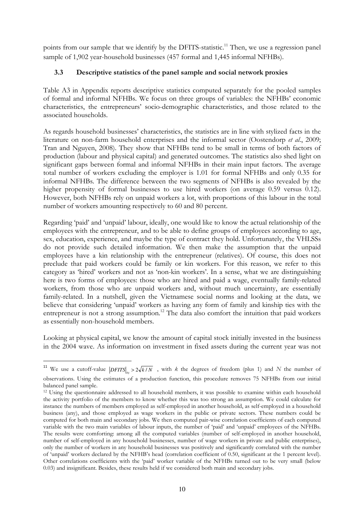points from our sample that we identify by the DFITS-statistic.<sup>11</sup> Then, we use a regression panel sample of 1,902 year-household businesses (457 formal and 1,445 informal NFHBs).

#### 3.3 Descriptive statistics of the panel sample and social network proxies

Table A3 in Appendix reports descriptive statistics computed separately for the pooled samples of formal and informal NFHBs. We focus on three groups of variables: the NFHBs' economic characteristics, the entrepreneurs' socio-demographic characteristics, and those related to the associated households.

As regards household businesses' characteristics, the statistics are in line with stylized facts in the literature on non-farm household enterprises and the informal sector (Oostendorp et al., 2009; Tran and Nguyen, 2008). They show that NFHBs tend to be small in terms of both factors of production (labour and physical capital) and generated outcomes. The statistics also shed light on significant gaps between formal and informal NFHBs in their main input factors. The average total number of workers excluding the employer is 1.01 for formal NFHBs and only 0.35 for informal NFHBs. The difference between the two segments of NFHBs is also revealed by the higher propensity of formal businesses to use hired workers (on average 0.59 versus 0.12). However, both NFHBs rely on unpaid workers a lot, with proportions of this labour in the total number of workers amounting respectively to 60 and 80 percent.

Regarding 'paid' and 'unpaid' labour, ideally, one would like to know the actual relationship of the employees with the entrepreneur, and to be able to define groups of employees according to age, sex, education, experience, and maybe the type of contract they hold. Unfortunately, the VHLSSs do not provide such detailed information. We then make the assumption that the unpaid employees have a kin relationship with the entrepreneur (relatives). Of course, this does not preclude that paid workers could be family or kin workers. For this reason, we refer to this category as 'hired' workers and not as 'non-kin workers'. In a sense, what we are distinguishing here is two forms of employees: those who are hired and paid a wage, eventually family-related workers, from those who are unpaid workers and, without much uncertainty, are essentially family-related. In a nutshell, given the Vietnamese social norms and looking at the data, we believe that considering 'unpaid' workers as having any form of family and kinship ties with the entrepreneur is not a strong assumption.<sup>12</sup> The data also comfort the intuition that paid workers as essentially non-household members.

Looking at physical capital, we know the amount of capital stock initially invested in the business in the 2004 wave. As information on investment in fixed assets during the current year was not

<sup>&</sup>lt;sup>11</sup> We use a cutoff-value  $|DFTS|_{h_j}$  >  $2\sqrt{k/N}$ , with k the degrees of freedom (plus 1) and N the number of observations. Using the estimates of a production function, this procedure removes 75 NFHBs from our initial balanced panel sample.

<sup>&</sup>lt;sup>12</sup> Using the questionnaire addressed to all household members, it was possible to examine within each household the activity portfolio of the members to know whether this was too strong an assumption. We could calculate for instance the numbers of members employed as self-employed in another household, as self-employed in a household business (any), and those employed as wage workers in the public or private sectors. These numbers could be computed for both main and secondary jobs. We then computed pair-wise correlation coefficients of each computed variable with the two main variables of labour inputs, the number of 'paid' and 'unpaid' employees of the NFHBs. The results were comforting: among all the computed variables (number of self-employed in another household, number of self-employed in any household businesses, number of wage workers in private and public enterprises), only the number of workers in any household businesses was positively and significantly correlated with the number of 'unpaid' workers declared by the NFHB's head (correlation coefficient of 0.50, significant at the 1 percent level). Other correlations coefficients with the 'paid' worker variable of the NFHBs turned out to be very small (below 0.03) and insignificant. Besides, these results held if we considered both main and secondary jobs.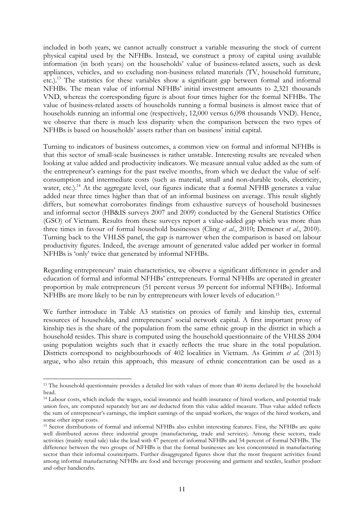included in both years, we cannot actually construct a variable measuring the stock of current physical capital used by the NFHBs. Instead, we construct a proxy of capital using available information (in both years) on the households' value of business-related assets, such as desk appliances, vehicles, and so excluding non-business related materials (TV, household furniture, etc.).<sup>13</sup> The statistics for these variables show a significant gap between formal and informal NFHBs. The mean value of informal NFHBs' initial investment amounts to 2,321 thousands VND, whereas the corresponding figure is about four times higher for the formal NFHBs. The value of business-related assets of households running a formal business is almost twice that of households running an informal one (respectively, 12,000 versus 6,098 thousands VND). Hence, we observe that there is much less disparity when the comparison between the two types of NFHBs is based on households' assets rather than on business' initial capital.

Turning to indicators of business outcomes, a common view on formal and informal NFHBs is that this sector of small-scale businesses is rather unstable. Interesting results are revealed when looking at value added and productivity indicators. We measure annual value added as the sum of the entrepreneur's earnings for the past twelve months, from which we deduct the value of selfconsumption and intermediate costs (such as material, small and non-durable tools, electricity, water, etc.).<sup>14</sup> At the aggregate level, our figures indicate that a formal NFHB generates a value added near three times higher than that of an informal business on average. This result slightly differs, but somewhat corroborates findings from exhaustive surveys of household businesses and informal sector (HB&IS surveys 2007 and 2009) conducted by the General Statistics Office (GSO) of Vietnam. Results from these surveys report a value-added gap which was more than three times in favour of formal household businesses (Cling et al., 2010; Demenet et al., 2010). Turning back to the VHLSS panel, the gap is narrower when the comparison is based on labour productivity figures. Indeed, the average amount of generated value added per worker in formal NFHBs is 'only' twice that generated by informal NFHBs.

Regarding entrepreneurs' main characteristics, we observe a significant difference in gender and education of formal and informal NFHBs' entrepreneurs. Formal NFHBs are operated in greater proportion by male entrepreneurs (51 percent versus 39 percent for informal NFHBs). Informal NFHBs are more likely to be run by entrepreneurs with lower levels of education.<sup>15</sup>

We further introduce in Table A3 statistics on proxies of family and kinship ties, external resources of households, and entrepreneurs' social network capital. A first important proxy of kinship ties is the share of the population from the same ethnic group in the district in which a household resides. This share is computed using the household questionnaire of the VHLSS 2004 using population weights such that it exactly reflects the true share in the total population. Districts correspond to neighbourhoods of 402 localities in Vietnam. As Grimm et al. (2013) argue, who also retain this approach, this measure of ethnic concentration can be used as a

<sup>&</sup>lt;sup>13</sup> The household questionnaire provides a detailed list with values of more than 40 items declared by the household head.

<sup>14</sup> Labour costs, which include the wages, social insurance and health insurance of hired workers, and potential trade union fees, are computed separately but are *not* deducted from this value added measure. Thus value added reflects the sum of entrepreneur's earnings, the implicit earnings of the unpaid workers, the wages of the hired workers, and some other input costs.

<sup>15</sup> Sector distributions of formal and informal NFHBs also exhibit interesting features. First, the NFHBs are quite well distributed across three industrial groups (manufacturing, trade and services). Among these sectors, trade activities (mainly retail sale) take the lead with 47 percent of informal NFHBs and 54 percent of formal NFHBs. The difference between the two groups of NFHBs is that the formal businesses are less concentrated in manufacturing sector than their informal counterparts. Further disaggregated figures show that the most frequent activities found among informal manufacturing NFHBs are food and beverage processing and garment and textiles, leather product and other handicrafts.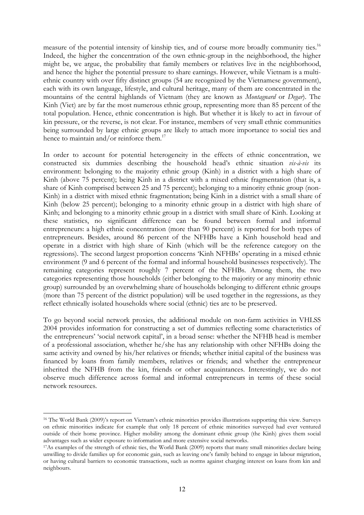measure of the potential intensity of kinship ties, and of course more broadly community ties.<sup>16</sup> Indeed, the higher the concentration of the own ethnic-group in the neighborhood, the higher might be, we argue, the probability that family members or relatives live in the neighborhood, and hence the higher the potential pressure to share earnings. However, while Vietnam is a multiethnic country with over fifty distinct groups (54 are recognized by the Vietnamese government), each with its own language, lifestyle, and cultural heritage, many of them are concentrated in the mountains of the central highlands of Vietnam (they are known as Montagnard or Degar). The Kinh (Viet) are by far the most numerous ethnic group, representing more than 85 percent of the total population. Hence, ethnic concentration is high. But whether it is likely to act in favour of kin pressure, or the reverse, is not clear. For instance, members of very small ethnic communities being surrounded by large ethnic groups are likely to attach more importance to social ties and hence to maintain and/or reinforce them.<sup>17</sup>

In order to account for potential heterogeneity in the effects of ethnic concentration, we constructed six dummies describing the household head's ethnic situation  $vis-\hat{i}$ -vis its environment: belonging to the majority ethnic group (Kinh) in a district with a high share of Kinh (above 75 percent); being Kinh in a district with a mixed ethnic fragmentation (that is, a share of Kinh comprised between 25 and 75 percent); belonging to a minority ethnic group (non-Kinh) in a district with mixed ethnic fragmentation; being Kinh in a district with a small share of Kinh (below 25 percent); belonging to a minority ethnic group in a district with high share of Kinh; and belonging to a minority ethnic group in a district with small share of Kinh. Looking at these statistics, no significant difference can be found between formal and informal entrepreneurs: a high ethnic concentration (more than 90 percent) is reported for both types of entrepreneurs. Besides, around 86 percent of the NFHBs have a Kinh household head and operate in a district with high share of Kinh (which will be the reference category on the regressions). The second largest proportion concerns 'Kinh NFHBs' operating in a mixed ethnic environment (9 and 6 percent of the formal and informal household businesses respectively). The remaining categories represent roughly 7 percent of the NFHBs. Among them, the two categories representing those households (either belonging to the majority or any minority ethnic group) surrounded by an overwhelming share of households belonging to different ethnic groups (more than 75 percent of the district population) will be used together in the regressions, as they reflect ethnically isolated households where social (ethnic) ties are to be preserved.

To go beyond social network proxies, the additional module on non-farm activities in VHLSS 2004 provides information for constructing a set of dummies reflecting some characteristics of the entrepreneurs' 'social network capital', in a broad sense: whether the NFHB head is member of a professional association, whether he/she has any relationship with other NFHBs doing the same activity and owned by his/her relatives or friends; whether initial capital of the business was financed by loans from family members, relatives or friends; and whether the entrepreneur inherited the NFHB from the kin, friends or other acquaintances. Interestingly, we do not observe much difference across formal and informal entrepreneurs in terms of these social network resources.

<sup>16</sup> The World Bank (2009)'s report on Vietnam's ethnic minorities provides illustrations supporting this view. Surveys on ethnic minorities indicate for example that only 18 percent of ethnic minorities surveyed had ever ventured outside of their home province. Higher mobility among the dominant ethnic group (the Kinh) gives them social advantages such as wider exposure to information and more extensive social networks.

<sup>17</sup>As examples of the strength of ethnic ties, the World Bank (2009) reports that many small minorities declare being unwilling to divide families up for economic gain, such as leaving one's family behind to engage in labour migration, or having cultural barriers to economic transactions, such as norms against charging interest on loans from kin and neighbours.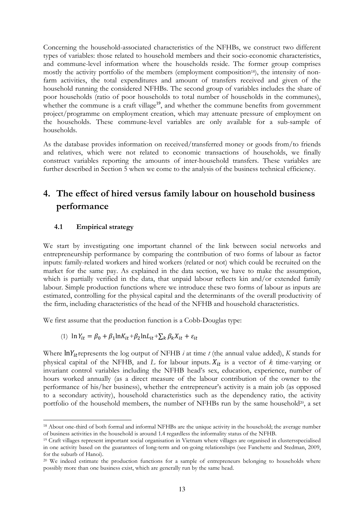Concerning the household-associated characteristics of the NFHBs, we construct two different types of variables: those related to household members and their socio-economic characteristics, and commune-level information where the households reside. The former group comprises mostly the activity portfolio of the members (employment composition<sup>18</sup>), the intensity of nonfarm activities, the total expenditures and amount of transfers received and given of the household running the considered NFHBs. The second group of variables includes the share of poor households (ratio of poor households to total number of households in the communes), whether the commune is a craft village<sup>19</sup>, and whether the commune benefits from government project/programme on employment creation, which may attenuate pressure of employment on the households. These commune-level variables are only available for a sub-sample of households.

As the database provides information on received/transferred money or goods from/to friends and relatives, which were not related to economic transactions of households, we finally construct variables reporting the amounts of inter-household transfers. These variables are further described in Section 5 when we come to the analysis of the business technical efficiency.

## 4. The effect of hired versus family labour on household business performance

#### 4.1 Empirical strategy

 $\overline{a}$ 

We start by investigating one important channel of the link between social networks and entrepreneurship performance by comparing the contribution of two forms of labour as factor inputs: family-related workers and hired workers (related or not) which could be recruited on the market for the same pay. As explained in the data section, we have to make the assumption, which is partially verified in the data, that unpaid labour reflects kin and/or extended family labour. Simple production functions where we introduce these two forms of labour as inputs are estimated, controlling for the physical capital and the determinants of the overall productivity of the firm, including characteristics of the head of the NFHB and household characteristics.

We first assume that the production function is a Cobb-Douglas type:

(1) 
$$
\ln Y_{it} = \beta_0 + \beta_1 \ln K_{it} + \beta_2 \ln L_{it} + \sum_k \beta_k X_{it} + \varepsilon_{it}
$$

Where  $\ln Y_{it}$  represents the log output of NFHB *i* at time *t* (the annual value added), *K* stands for physical capital of the NFHB, and L for labour inputs.  $X_{it}$  is a vector of k time-varying or invariant control variables including the NFHB head's sex, education, experience, number of hours worked annually (as a direct measure of the labour contribution of the owner to the performance of his/her business), whether the entrepreneur's activity is a main job (as opposed to a secondary activity), household characteristics such as the dependency ratio, the activity portfolio of the household members, the number of NFHBs run by the same household<sup>20</sup>, a set

<sup>&</sup>lt;sup>18</sup> About one-third of both formal and informal NFHBs are the unique activity in the household; the average number of business activities in the household is around 1.4 regardless the informality status of the NFHB.

<sup>19</sup> Craft villages represent important social organisation in Vietnam where villages are organised in clustersspecialised in one activity based on the guarantees of long-term and on-going relationships (see Fanchette and Stedman, 2009, for the suburb of Hanoi).

<sup>&</sup>lt;sup>20</sup> We indeed estimate the production functions for a sample of entrepreneurs belonging to households where possibly more than one business exist, which are generally run by the same head.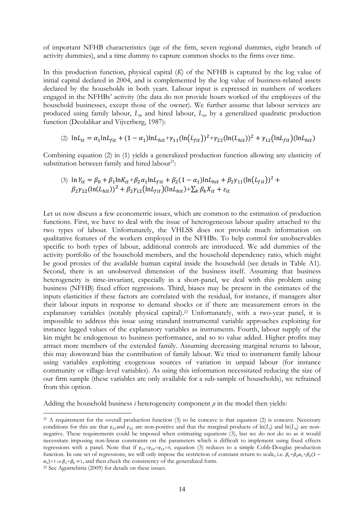of important NFHB characteristics (age of the firm, seven regional dummies, eight branch of activity dummies), and a time dummy to capture common shocks to the firms over time.

In this production function, physical capital  $(K)$  of the NFHB is captured by the log value of initial capital declared in 2004, and is complemented by the log value of business-related assets declared by the households in both years. Labour input is expressed in numbers of workers engaged in the NFHBs' activity (the data do not provide hours worked of the employees of the household businesses, except those of the owner). We further assume that labour services are produced using family labour,  $L_p$  and hired labour,  $L_p$ , by a generalized quadratic production function (Deolalikar and Vijverberg, 1987):

(2) 
$$
\ln L_{it} = \alpha_1 \ln L_{fit} + (1 - \alpha_1) \ln L_{hit} + \gamma_{11} (\ln(L_{fit}))^2 + \gamma_{22} (\ln(L_{hit}))^2 + \gamma_{12} (\ln L_{fit}) (\ln L_{hit})
$$

Combining equation (2) in (1) yields a generalized production function allowing any elasticity of substitution between family and hired labour $21$ :

(3) 
$$
\ln Y_{it} = \beta_0 + \beta_1 \ln K_{it} + \beta_2 \alpha_1 \ln L_{fit} + \beta_2 (1 - \alpha_1) \ln L_{hit} + \beta_2 \gamma_{11} (\ln (L_{fit}))^2 + \beta_2 \gamma_{22} (\ln (L_{hit}))^2 + \beta_2 \gamma_{12} (\ln L_{fit}) (\ln L_{hit}) + \sum_k \beta_k X_{it} + \varepsilon_{it}
$$

Let us now discuss a few econometric issues, which are common to the estimation of production functions. First, we have to deal with the issue of heterogeneous labour quality attached to the two types of labour. Unfortunately, the VHLSS does not provide much information on qualitative features of the workers employed in the NFHBs. To help control for unobservables specific to both types of labour, additional controls are introduced. We add dummies of the activity portfolio of the household members, and the household dependency ratio, which might be good proxies of the available human capital inside the household (see details in Table A1). Second, there is an unobserved dimension of the business itself. Assuming that business heterogeneity is time-invariant, especially in a short-panel, we deal with this problem using business (NFHB) fixed effect regressions. Third, biases may be present in the estimates of the inputs elasticities if these factors are correlated with the residual, for instance, if managers alter their labour inputs in response to demand shocks or if there are measurement errors in the explanatory variables (notably physical capital).<sup>22</sup> Unfortunately, with a two-year panel, it is impossible to address this issue using standard instrumental variable approaches exploiting for instance lagged values of the explanatory variables as instruments. Fourth, labour supply of the kin might be endogenous to business performance, and so to value added. Higher profits may attract more members of the extended family. Assuming decreasing marginal returns to labour, this may downward bias the contribution of family labour. We tried to instrument family labour using variables exploiting exogenous sources of variation in unpaid labour (for instance community or village-level variables). As using this information necessitated reducing the size of our firm sample (these variables are only available for a sub-sample of households), we refrained from this option.

Adding the household business  $i$  heterogeneity component  $\mu$  in the model then yields:

<sup>&</sup>lt;sup>21</sup> A requirement for the overall production function (3) to be concave is that equation (2) is concave. Necessary conditions for this are that  $\gamma_{11}$  and  $\gamma_{22}$  are non-positive and that the marginal products of  $\ln(L_j)$  and  $\ln(L_j)$  are nonnegative. These requirements could be imposed when estimating equations (3), but we do not do so as it would necessitate imposing non-linear constraints on the parameters which is difficult to implement using fixed effects regressions with a panel. Note that if  $\gamma_{11} = \gamma_{22} = \gamma_{12} = 0$ , equation (3) reduces to a simple Cobb-Douglas production function. In one set of regressions, we will only impose the restriction of constant return to scale, i.e.  $\beta_1 + \beta_2 \alpha_1 + \beta_2 (1 \alpha_1$ )=1 or  $\beta_1 + \beta_2$  =1, and then check the consistency of the generalized form.

<sup>22</sup> See Aguirrebiria (2009) for details on these issues.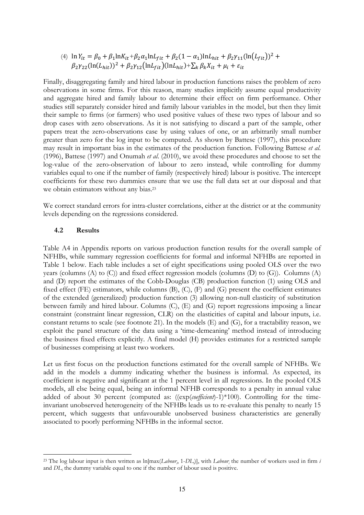(4) 
$$
\ln Y_{it} = \beta_0 + \beta_1 \ln K_{it} + \beta_2 \alpha_1 \ln L_{fit} + \beta_2 (1 - \alpha_1) \ln L_{hit} + \beta_2 \gamma_{11} (\ln (L_{fit}))^2 + \beta_2 \gamma_{22} (\ln (L_{hit}))^2 + \beta_2 \gamma_{12} (\ln L_{fit}) (\ln L_{hit}) + \sum_k \beta_k X_{it} + \mu_i + \varepsilon_{it}
$$

Finally, disaggregating family and hired labour in production functions raises the problem of zero observations in some firms. For this reason, many studies implicitly assume equal productivity and aggregate hired and family labour to determine their effect on firm performance. Other studies still separately consider hired and family labour variables in the model, but then they limit their sample to firms (or farmers) who used positive values of these two types of labour and so drop cases with zero observations. As it is not satisfying to discard a part of the sample, other papers treat the zero-observations case by using values of one, or an arbitrarily small number greater than zero for the log input to be computed. As shown by Battese (1997), this procedure may result in important bias in the estimates of the production function. Following Battese et al. (1996), Battese (1997) and Onumah *et al.* (2010), we avoid these procedures and choose to set the log-value of the zero-observation of labour to zero instead, while controlling for dummy variables equal to one if the number of family (respectively hired) labour is positive. The intercept coefficients for these two dummies ensure that we use the full data set at our disposal and that we obtain estimators without any bias.<sup>23</sup>

We correct standard errors for intra-cluster correlations, either at the district or at the community levels depending on the regressions considered.

#### 4.2 Results

 $\overline{a}$ 

Table A4 in Appendix reports on various production function results for the overall sample of NFHBs, while summary regression coefficients for formal and informal NFHBs are reported in Table 1 below. Each table includes a set of eight specifications using pooled OLS over the two years (columns  $(A)$  to  $(C)$ ) and fixed effect regression models (columns  $(D)$  to  $(G)$ ). Columns  $(A)$ and (D) report the estimates of the Cobb-Douglas (CB) production function (1) using OLS and fixed effect (FE) estimators, while columns (B), (C), (F) and (G) present the coefficient estimates of the extended (generalized) production function (3) allowing non-null elasticity of substitution between family and hired labour. Columns (C), (E) and (G) report regressions imposing a linear constraint (constraint linear regression, CLR) on the elasticities of capital and labour inputs, i.e. constant returns to scale (see footnote 21). In the models (E) and (G), for a tractability reason, we exploit the panel structure of the data using a 'time-demeaning' method instead of introducing the business fixed effects explicitly. A final model (H) provides estimates for a restricted sample of businesses comprising at least two workers.

Let us first focus on the production functions estimated for the overall sample of NFHBs. We add in the models a dummy indicating whether the business is informal. As expected, its coefficient is negative and significant at the 1 percent level in all regressions. In the pooled OLS models, all else being equal, being an informal NFHB corresponds to a penalty in annual value added of about 30 percent (computed as:  $((exp(coefficient)-1)*100)$ . Controlling for the timeinvariant unobserved heterogeneity of the NFHBs leads us to re-evaluate this penalty to nearly 15 percent, which suggests that unfavourable unobserved business characteristics are generally associated to poorly performing NFHBs in the informal sector.

<sup>&</sup>lt;sup>23</sup> The log labour input is then written as  $\ln[\max(Labour, 1-DL_i)]$ , with  $Labour_i$  the number of workers used in firm *i* and  $DL_i$  the dummy variable equal to one if the number of labour used is positive.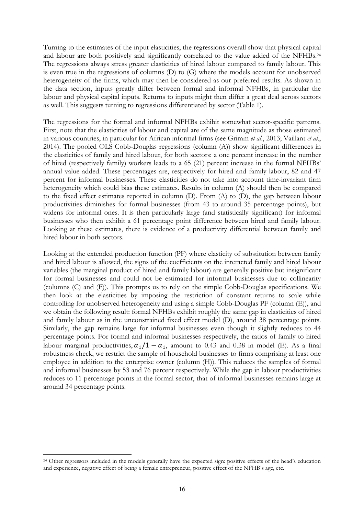Turning to the estimates of the input elasticities, the regressions overall show that physical capital and labour are both positively and significantly correlated to the value added of the NFHBs.<sup>24</sup> The regressions always stress greater elasticities of hired labour compared to family labour. This is even true in the regressions of columns (D) to (G) where the models account for unobserved heterogeneity of the firms, which may then be considered as our preferred results. As shown in the data section, inputs greatly differ between formal and informal NFHBs, in particular the labour and physical capital inputs. Returns to inputs might then differ a great deal across sectors as well. This suggests turning to regressions differentiated by sector (Table 1).

The regressions for the formal and informal NFHBs exhibit somewhat sector-specific patterns. First, note that the elasticities of labour and capital are of the same magnitude as those estimated in various countries, in particular for African informal firms (see Grimm et al., 2013; Vaillant et al., 2014). The pooled OLS Cobb-Douglas regressions (column (A)) show significant differences in the elasticities of family and hired labour, for both sectors: a one percent increase in the number of hired (respectively family) workers leads to a 65 (21) percent increase in the formal NFHBs' annual value added. These percentages are, respectively for hired and family labour, 82 and 47 percent for informal businesses. These elasticities do not take into account time-invariant firm heterogeneity which could bias these estimates. Results in column (A) should then be compared to the fixed effect estimates reported in column (D). From (A) to (D), the gap between labour productivities diminishes for formal businesses (from 43 to around 35 percentage points), but widens for informal ones. It is then particularly large (and statistically significant) for informal businesses who then exhibit a 61 percentage point difference between hired and family labour. Looking at these estimates, there is evidence of a productivity differential between family and hired labour in both sectors.

Looking at the extended production function (PF) where elasticity of substitution between family and hired labour is allowed, the signs of the coefficients on the interacted family and hired labour variables (the marginal product of hired and family labour) are generally positive but insignificant for formal businesses and could not be estimated for informal businesses due to collinearity (columns (C) and (F)). This prompts us to rely on the simple Cobb-Douglas specifications. We then look at the elasticities by imposing the restriction of constant returns to scale while controlling for unobserved heterogeneity and using a simple Cobb-Douglas PF (column (E)), and we obtain the following result: formal NFHBs exhibit roughly the same gap in elasticities of hired and family labour as in the unconstrained fixed effect model (D), around 38 percentage points. Similarly, the gap remains large for informal businesses even though it slightly reduces to 44 percentage points. For formal and informal businesses respectively, the ratios of family to hired labour marginal productivities,  $\alpha_1/1 - \alpha_1$ , amount to 0.43 and 0.38 in model (E). As a final robustness check, we restrict the sample of household businesses to firms comprising at least one employee in addition to the enterprise owner (column (H)). This reduces the samples of formal and informal businesses by 53 and 76 percent respectively. While the gap in labour productivities reduces to 11 percentage points in the formal sector, that of informal businesses remains large at around 34 percentage points.

<sup>24</sup> Other regressors included in the models generally have the expected sign: positive effects of the head's education and experience, negative effect of being a female entrepreneur, positive effect of the NFHB's age, etc.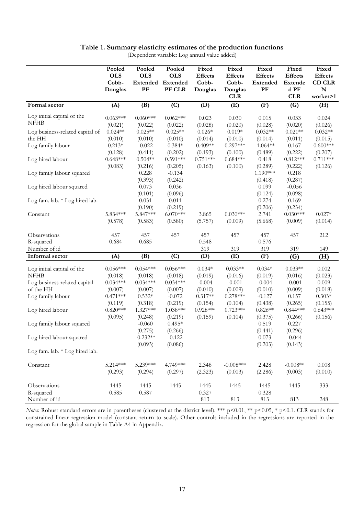|                                                                | Pooled<br><b>OLS</b><br>Cobb-<br>Douglas | Pooled<br><b>OLS</b><br>$P$ F     | Pooled<br><b>OLS</b><br><b>Extended Extended</b><br>PF CLR | Fixed<br><b>Effects</b><br>Cobb-<br>Douglas | Fixed<br><b>Effects</b><br>Cobb-<br>Douglas<br><b>CLR</b> | Fixed<br><b>Effects</b><br>Extended<br>PF | Fixed<br><b>Effects</b><br><b>Extende</b><br>d PF<br><b>CLR</b> | Fixed<br><b>Effects</b><br><b>CD CLR</b><br>$\mathbf N$<br>worker>1 |
|----------------------------------------------------------------|------------------------------------------|-----------------------------------|------------------------------------------------------------|---------------------------------------------|-----------------------------------------------------------|-------------------------------------------|-----------------------------------------------------------------|---------------------------------------------------------------------|
| Formal sector                                                  | (A)                                      | (B)                               | (C)                                                        | (D)                                         | (E)                                                       | (F)                                       | (G)                                                             | (H)                                                                 |
| Log initial capital of the<br><b>NFHB</b>                      | $0.063***$<br>(0.021)                    | $0.060***$<br>(0.022)             | $0.062***$<br>(0.022)                                      | 0.023<br>(0.028)                            | 0.030<br>(0.020)                                          | 0.015<br>(0.028)                          | 0.033<br>(0.020)                                                | 0.024<br>(0.026)                                                    |
| Log business-related capital of<br>the HH<br>Log family labour | $0.024**$<br>(0.010)<br>$0.213*$         | $0.025**$<br>(0.010)<br>$-0.022$  | $0.025**$<br>(0.010)<br>$0.384*$                           | $0.026*$<br>(0.014)<br>$0.409**$            | $0.019*$<br>(0.010)<br>$0.297***$                         | $0.032**$<br>(0.014)<br>$-1.064**$        | $0.021**$<br>(0.011)<br>0.167                                   | $0.032**$<br>(0.015)<br>$0.600***$                                  |
| Log hired labour                                               | (0.128)<br>$0.648***$                    | (0.411)<br>$0.504**$              | (0.202)<br>$0.591***$                                      | (0.193)<br>$0.751***$                       | (0.100)<br>$0.684***$                                     | (0.489)<br>0.418                          | (0.222)<br>$0.812***$                                           | (0.207)<br>$0.711***$                                               |
| Log family labour squared                                      | (0.083)                                  | (0.216)<br>0.228<br>(0.393)       | (0.205)<br>$-0.134$<br>(0.242)                             | (0.163)                                     | (0.100)                                                   | (0.289)<br>1.190***<br>(0.418)            | (0.222)<br>0.218<br>(0.287)                                     | (0.126)                                                             |
| Log hired labour squared                                       |                                          | 0.073<br>(0.101)                  | 0.036<br>(0.096)                                           |                                             |                                                           | 0.099<br>(0.124)                          | $-0.056$<br>(0.098)                                             |                                                                     |
| Log fam. lab. * Log hired lab.                                 |                                          | 0.031<br>(0.190)                  | 0.011<br>(0.219)                                           |                                             |                                                           | 0.274<br>(0.206)                          | 0.169<br>(0.234)                                                |                                                                     |
| Constant                                                       | 5.834***<br>(0.578)                      | 5.847***<br>(0.583)               | $6.070***$<br>(0.580)                                      | 3.865<br>(5.757)                            | $0.030***$<br>(0.009)                                     | 2.741<br>(5.668)                          | $0.030***$<br>(0.009)                                           | $0.027*$<br>(0.014)                                                 |
| Observations<br>R-squared                                      | 457<br>0.684                             | 457<br>0.685                      | 457                                                        | 457<br>0.548                                | 457                                                       | 457<br>0.576                              | 457                                                             | 212                                                                 |
| Number of id                                                   |                                          |                                   |                                                            | 319                                         | 319                                                       | 319                                       | 319                                                             | 149                                                                 |
| Informal sector                                                | (A)                                      | (B)                               | (C)                                                        | (D)                                         | (E)                                                       | (F)                                       | (G)                                                             | (H)                                                                 |
| Log initial capital of the<br><b>NFHB</b>                      | $0.056***$<br>(0.018)                    | $0.054***$<br>(0.018)             | $0.056***$<br>(0.018)                                      | $0.034*$<br>(0.019)                         | $0.033**$<br>(0.016)                                      | $0.034*$<br>(0.019)                       | $0.033**$<br>(0.016)                                            | 0.002<br>(0.023)                                                    |
| Log business-related capital<br>of the HH<br>Log family labour | $0.034***$<br>(0.007)<br>$0.471***$      | $0.034***$<br>(0.007)<br>$0.532*$ | $0.034***$<br>(0.007)<br>$-0.072$                          | $-0.004$<br>(0.010)<br>$0.317**$            | $-0.001$<br>(0.009)<br>$0.278***$                         | $-0.004$<br>(0.010)<br>$-0.127$           | $-0.001$<br>(0.009)<br>0.157                                    | 0.009<br>(0.018)<br>$0.303*$                                        |
| Log hired labour                                               | (0.119)<br>$0.820***$                    | (0.318)<br>1.327***               | (0.219)<br>1.038***                                        | (0.154)<br>$0.928***$                       | (0.104)<br>$0.723***$                                     | (0.438)<br>$0.826**$                      | (0.265)<br>$0.844***$                                           | (0.155)<br>$0.643***$                                               |
| Log family labour squared                                      | (0.095)                                  | (0.248)<br>$-0.060$<br>(0.275)    | (0.219)<br>$0.495*$<br>(0.266)                             | (0.159)                                     | (0.104)                                                   | (0.375)<br>0.519<br>(0.441)               | (0.266)<br>0.227<br>(0.296)                                     | (0.156)                                                             |
| Log hired labour squared                                       |                                          | $-0.232**$<br>(0.093)             | $-0.122$<br>(0.086)                                        |                                             |                                                           | 0.073<br>(0.203)                          | $-0.044$<br>(0.143)                                             |                                                                     |
| Log fam. lab. * Log hired lab.                                 |                                          |                                   |                                                            |                                             |                                                           |                                           |                                                                 |                                                                     |
| Constant                                                       | $5.214***$<br>(0.293)                    | 5.239***<br>(0.294)               | 4.749***<br>(0.297)                                        | 2.348<br>(2.323)                            | $-0.008$ ***<br>(0.003)                                   | 2.428<br>(2.286)                          | $-0.008**$<br>(0.003)                                           | $0.008\,$<br>(0.010)                                                |
| Observations<br>R-squared                                      | 1445<br>0.585                            | 1445<br>0.587                     | 1445                                                       | 1445<br>0.327                               | 1445                                                      | 1445<br>0.328                             | 1445                                                            | 333                                                                 |
| Number of id                                                   |                                          |                                   |                                                            | 813                                         | 813                                                       | 813                                       | 813                                                             | 248                                                                 |

#### Table 1. Summary elasticity estimates of the production functions

(Dependent variable: Log annual value added)

Notes: Robust standard errors are in parentheses (clustered at the district level). \*\*\* p<0.01, \*\* p<0.05, \* p<0.1. CLR stands for constrained linear regression model (constant return to scale). Other controls included in the regressions are reported in the regression for the global sample in Table A4 in Appendix.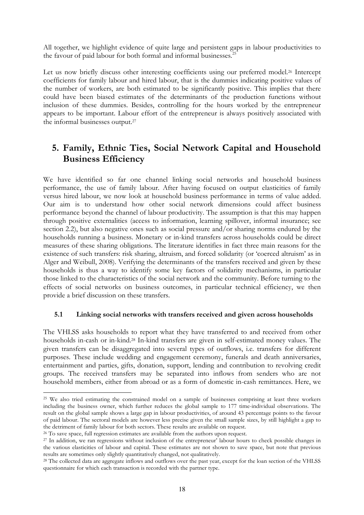All together, we highlight evidence of quite large and persistent gaps in labour productivities to the favour of paid labour for both formal and informal businesses.<sup>25</sup>

Let us now briefly discuss other interesting coefficients using our preferred model.<sup>26</sup> Intercept coefficients for family labour and hired labour, that is the dummies indicating positive values of the number of workers, are both estimated to be significantly positive. This implies that there could have been biased estimates of the determinants of the production functions without inclusion of these dummies. Besides, controlling for the hours worked by the entrepreneur appears to be important. Labour effort of the entrepreneur is always positively associated with the informal businesses output.<sup>27</sup>

## 5. Family, Ethnic Ties, Social Network Capital and Household Business Efficiency

We have identified so far one channel linking social networks and household business performance, the use of family labour. After having focused on output elasticities of family versus hired labour, we now look at household business performance in terms of value added. Our aim is to understand how other social network dimensions could affect business performance beyond the channel of labour productivity. The assumption is that this may happen through positive externalities (access to information, learning spillover, informal insurance; see section 2.2), but also negative ones such as social pressure and/or sharing norms endured by the households running a business. Monetary or in-kind transfers across households could be direct measures of these sharing obligations. The literature identifies in fact three main reasons for the existence of such transfers: risk sharing, altruism, and forced solidarity (or 'coerced altruism' as in Alger and Weibull, 2008). Verifying the determinants of the transfers received and given by these households is thus a way to identify some key factors of solidarity mechanisms, in particular those linked to the characteristics of the social network and the community. Before turning to the effects of social networks on business outcomes, in particular technical efficiency, we then provide a brief discussion on these transfers.

#### 5.1 Linking social networks with transfers received and given across households

The VHLSS asks households to report what they have transferred to and received from other households in-cash or in-kind.28 In-kind transfers are given in self-estimated money values. The given transfers can be disaggregated into several types of outflows, i.e. transfers for different purposes. These include wedding and engagement ceremony, funerals and death anniversaries, entertainment and parties, gifts, donation, support, lending and contribution to revolving credit groups. The received transfers may be separated into inflows from senders who are not household members, either from abroad or as a form of domestic in-cash remittances. Here, we

<sup>&</sup>lt;sup>25</sup> We also tried estimating the constrained model on a sample of businesses comprising at least three workers including the business owner, which further reduces the global sample to 177 time-individual observations. The result on the global sample shows a large gap in labour productivities, of around 43 percentage points to the favour of paid labour. The sectoral models are however less precise given the small sample sizes, by still highlight a gap to the detriment of family labour for both sectors. These results are available on request.

<sup>&</sup>lt;sup>26</sup> To save space, full regression estimates are available from the authors upon request.

<sup>&</sup>lt;sup>27</sup> In addition, we ran regressions without inclusion of the entrepreneur' labour hours to check possible changes in the various elasticities of labour and capital. These estimates are not shown to save space, but note that previous results are sometimes only slightly quantitatively changed, not qualitatively.

<sup>&</sup>lt;sup>28</sup> The collected data are aggregate inflows and outflows over the past year, except for the loan section of the VHLSS questionnaire for which each transaction is recorded with the partner type.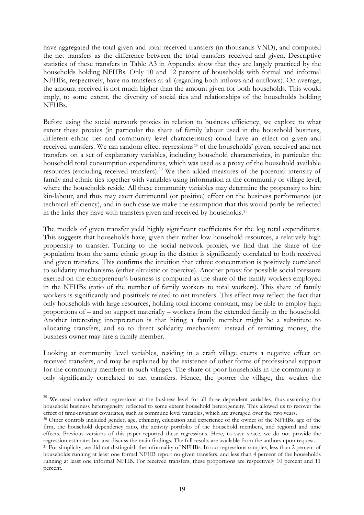have aggregated the total given and total received transfers (in thousands VND), and computed the net transfers as the difference between the total transfers received and given. Descriptive statistics of these transfers in Table A3 in Appendix show that they are largely practiced by the households holding NFHBs. Only 10 and 12 percent of households with formal and informal NFHBs, respectively, have no transfers at all (regarding both inflows and outflows). On average, the amount received is not much higher than the amount given for both households. This would imply, to some extent, the diversity of social ties and relationships of the households holding NFHBs.

Before using the social network proxies in relation to business efficiency, we explore to what extent these proxies (in particular the share of family labour used in the household business, different ethnic ties and community level characteristics) could have an effect on given and received transfers. We ran random effect regressions <sup>29</sup> of the households' given, received and net transfers on a set of explanatory variables, including household characteristics, in particular the household total consumption expenditures, which was used as a proxy of the household available resources (excluding received transfers).<sup>30</sup> We then added measures of the potential intensity of family and ethnic ties together with variables using information at the community or village level, where the households reside. All these community variables may determine the propensity to hire kin-labour, and thus may exert detrimental (or positive) effect on the business performance (or technical efficiency), and in such case we make the assumption that this would partly be reflected in the links they have with transfers given and received by households.<sup>31</sup>

The models of given transfer yield highly significant coefficients for the log total expenditures. This suggests that households have, given their rather low household resources, a relatively high propensity to transfer. Turning to the social network proxies, we find that the share of the population from the same ethnic group in the district is significantly correlated to both received and given transfers. This confirms the intuition that ethnic concentration is positively correlated to solidarity mechanisms (either altruistic or coercive). Another proxy for possible social pressure exerted on the entrepreneur's business is computed as the share of the family workers employed in the NFHBs (ratio of the number of family workers to total workers). This share of family workers is significantly and positively related to net transfers. This effect may reflect the fact that only households with large resources, holding total income constant, may be able to employ high proportions of – and so support materially – workers from the extended family in the household. Another interesting interpretation is that hiring a family member might be a substitute to allocating transfers, and so to direct solidarity mechanism: instead of remitting money, the business owner may hire a family member.

Looking at community level variables, residing in a craft village exerts a negative effect on received transfers, and may be explained by the existence of other forms of professional support for the community members in such villages. The share of poor households in the community is only significantly correlated to net transfers. Hence, the poorer the village, the weaker the

l

<sup>&</sup>lt;sup>29</sup> We used random effect regressions at the business level for all three dependent variables, thus assuming that household business heterogeneity reflected to some extent household heterogeneity. This allowed us to recover the effect of time-invariant covariates, such as commune level variables, which are averaged over the two years.

<sup>30</sup> Other controls included gender, age, ethnicity, education and experience of the owner of the NFHBs, age of the firm, the household dependency ratio, the activity portfolio of the household members, and regional and time effects. Previous versions of this paper reported these regressions. Here, to save space, we do not provide the regression estimates but just discuss the main findings. The full results are available from the authors upon request.

<sup>&</sup>lt;sup>31</sup> For simplicity, we did not distinguish the informality of NFHBs. In our regressions samples, less than 2 percent of households running at least one formal NFHB report no given transfers, and less than 4 percent of the households running at least one informal NFHB. For received transfers, these proportions are respectively 10 percent and 11 percent.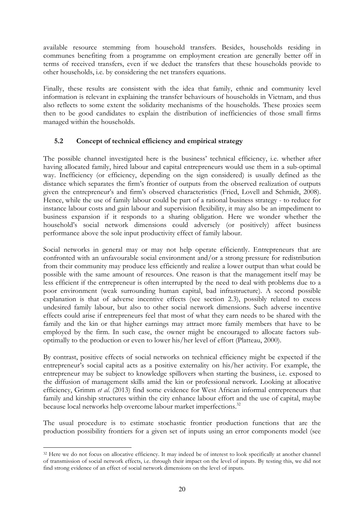available resource stemming from household transfers. Besides, households residing in communes benefiting from a programme on employment creation are generally better off in terms of received transfers, even if we deduct the transfers that these households provide to other households, i.e. by considering the net transfers equations.

Finally, these results are consistent with the idea that family, ethnic and community level information is relevant in explaining the transfer behaviours of households in Vietnam, and thus also reflects to some extent the solidarity mechanisms of the households. These proxies seem then to be good candidates to explain the distribution of inefficiencies of those small firms managed within the households.

#### 5.2 Concept of technical efficiency and empirical strategy

The possible channel investigated here is the business' technical efficiency, i.e. whether after having allocated family, hired labour and capital entrepreneurs would use them in a sub-optimal way. Inefficiency (or efficiency, depending on the sign considered) is usually defined as the distance which separates the firm's frontier of outputs from the observed realization of outputs given the entrepreneur's and firm's observed characteristics (Fried, Lovell and Schmidt, 2008). Hence, while the use of family labour could be part of a rational business strategy - to reduce for instance labour costs and gain labour and supervision flexibility, it may also be an impediment to business expansion if it responds to a sharing obligation. Here we wonder whether the household's social network dimensions could adversely (or positively) affect business performance above the sole input productivity effect of family labour.

Social networks in general may or may not help operate efficiently. Entrepreneurs that are confronted with an unfavourable social environment and/or a strong pressure for redistribution from their community may produce less efficiently and realize a lower output than what could be possible with the same amount of resources. One reason is that the management itself may be less efficient if the entrepreneur is often interrupted by the need to deal with problems due to a poor environment (weak surrounding human capital, bad infrastructure). A second possible explanation is that of adverse incentive effects (see section 2.3), possibly related to excess undesired family labour, but also to other social network dimensions. Such adverse incentive effects could arise if entrepreneurs feel that most of what they earn needs to be shared with the family and the kin or that higher earnings may attract more family members that have to be employed by the firm. In such case, the owner might be encouraged to allocate factors suboptimally to the production or even to lower his/her level of effort (Platteau, 2000).

By contrast, positive effects of social networks on technical efficiency might be expected if the entrepreneur's social capital acts as a positive externality on his/her activity. For example, the entrepreneur may be subject to knowledge spillovers when starting the business, i.e. exposed to the diffusion of management skills amid the kin or professional network. Looking at allocative efficiency, Grimm et al. (2013) find some evidence for West African informal entrepreneurs that family and kinship structures within the city enhance labour effort and the use of capital, maybe because local networks help overcome labour market imperfections.<sup>32</sup>

The usual procedure is to estimate stochastic frontier production functions that are the production possibility frontiers for a given set of inputs using an error components model (see

<sup>&</sup>lt;sup>32</sup> Here we do not focus on allocative efficiency. It may indeed be of interest to look specifically at another channel of transmission of social network effects, i.e. through their impact on the level of inputs. By testing this, we did not find strong evidence of an effect of social network dimensions on the level of inputs.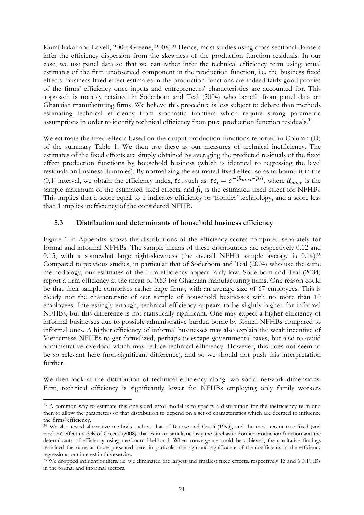Kumbhakar and Lovell, 2000; Greene, 2008).33 Hence, most studies using cross-sectional datasets infer the efficiency dispersion from the skewness of the production function residuals. In our case, we use panel data so that we can rather infer the technical efficiency term using actual estimates of the firm unobserved component in the production function, i.e. the business fixed effects. Business fixed effect estimates in the production functions are indeed fairly good proxies of the firms' efficiency once inputs and entrepreneurs' characteristics are accounted for. This approach is notably retained in Söderbom and Teal (2004) who benefit from panel data on Ghanaian manufacturing firms. We believe this procedure is less subject to debate than methods estimating technical efficiency from stochastic frontiers which require strong parametric assumptions in order to identify technical efficiency from pure production function residuals.<sup>34</sup>

We estimate the fixed effects based on the output production functions reported in Column (D) of the summary Table 1. We then use these as our measures of technical inefficiency. The estimates of the fixed effects are simply obtained by averaging the predicted residuals of the fixed effect production functions by household business (which is identical to regressing the level residuals on business dummies). By normalizing the estimated fixed effect so as to bound it in the (0,1] interval, we obtain the efficiency index, *te*, such as:  $te_i = e^{-(\hat{\mu}_{max}-\hat{\mu}_i)}$ , where  $\hat{\mu}_{max}$  is the sample maximum of the estimated fixed effects, and  $\hat{\mu}_i$  is the estimated fixed effect for NFHBi. This implies that a score equal to 1 indicates efficiency or 'frontier' technology, and a score less than 1 implies inefficiency of the considered NFHB.

#### 5.3 Distribution and determinants of household business efficiency

Figure 1 in Appendix shows the distributions of the efficiency scores computed separately for formal and informal NFHBs. The sample means of these distributions are respectively 0.12 and 0.15, with a somewhat large right-skewness (the overall NFHB sample average is 0.14).<sup>35</sup> Compared to previous studies, in particular that of Söderbom and Teal (2004) who use the same methodology, our estimates of the firm efficiency appear fairly low. Söderbom and Teal (2004) report a firm efficiency at the mean of 0.53 for Ghanaian manufacturing firms. One reason could be that their sample comprises rather large firms, with an average size of 67 employees. This is clearly not the characteristic of our sample of household businesses with no more than 10 employees. Interestingly enough, technical efficiency appears to be slightly higher for informal NFHBs, but this difference is not statistically significant. One may expect a higher efficiency of informal businesses due to possible administrative burden borne by formal NFHBs compared to informal ones. A higher efficiency of informal businesses may also explain the weak incentive of Vietnamese NFHBs to get formalized, perhaps to escape governmental taxes, but also to avoid administrative overload which may reduce technical efficiency. However, this does not seem to be so relevant here (non-significant difference), and so we should not push this interpretation further.

We then look at the distribution of technical efficiency along two social network dimensions. First, technical efficiency is significantly lower for NFHBs employing only family workers

<sup>&</sup>lt;sup>33</sup> A common way to estimate this one-sided error model is to specify a distribution for the inefficiency term and then to allow the parameters of that distribution to depend on a set of characteristics which are deemed to influence the firms' efficiency.

<sup>34</sup> We also tested alternative methods such as that of Battese and Coelli (1995), and the most recent true fixed (and random) effect models of Greene (2008), that estimate simultaneously the stochastic frontier production function and the determinants of efficiency using maximum likelihood. When convergence could be achieved, the qualitative findings remained the same as those presented here, in particular the sign and significance of the coefficients in the efficiency regressions, our interest in this exercise.

<sup>35</sup> We dropped influent outliers, i.e. we eliminated the largest and smallest fixed effects, respectively 13 and 6 NFHBs in the formal and informal sectors.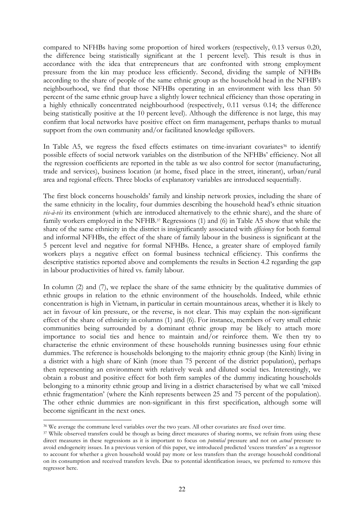compared to NFHBs having some proportion of hired workers (respectively, 0.13 versus 0.20, the difference being statistically significant at the 1 percent level). This result is thus in accordance with the idea that entrepreneurs that are confronted with strong employment pressure from the kin may produce less efficiently. Second, dividing the sample of NFHBs according to the share of people of the same ethnic group as the household head in the NFHB's neighbourhood, we find that those NFHBs operating in an environment with less than 50 percent of the same ethnic group have a slightly lower technical efficiency than those operating in a highly ethnically concentrated neighbourhood (respectively, 0.11 versus 0.14; the difference being statistically positive at the 10 percent level). Although the difference is not large, this may confirm that local networks have positive effect on firm management, perhaps thanks to mutual support from the own community and/or facilitated knowledge spillovers.

In Table A5, we regress the fixed effects estimates on time-invariant covariates<sup>36</sup> to identify possible effects of social network variables on the distribution of the NFHBs' efficiency. Not all the regression coefficients are reported in the table as we also control for sector (manufacturing, trade and services), business location (at home, fixed place in the street, itinerant), urban/rural area and regional effects. Three blocks of explanatory variables are introduced sequentially.

The first block concerns households' family and kinship network proxies, including the share of the same ethnicity in the locality, four dummies describing the household head's ethnic situation vis-à-vis its environment (which are introduced alternatively to the ethnic share), and the share of family workers employed in the NFHB.37 Regressions (1) and (6) in Table A5 show that while the share of the same ethnicity in the district is insignificantly associated with *efficiency* for both formal and informal NFHBs, the effect of the share of family labour in the business is significant at the 5 percent level and negative for formal NFHBs. Hence, a greater share of employed family workers plays a negative effect on formal business technical efficiency. This confirms the descriptive statistics reported above and complements the results in Section 4.2 regarding the gap in labour productivities of hired vs. family labour.

In column (2) and (7), we replace the share of the same ethnicity by the qualitative dummies of ethnic groups in relation to the ethnic environment of the households. Indeed, while ethnic concentration is high in Vietnam, in particular in certain mountainous areas, whether it is likely to act in favour of kin pressure, or the reverse, is not clear. This may explain the non-significant effect of the share of ethnicity in columns (1) and (6). For instance, members of very small ethnic communities being surrounded by a dominant ethnic group may be likely to attach more importance to social ties and hence to maintain and/or reinforce them. We then try to characterise the ethnic environment of these households running businesses using four ethnic dummies. The reference is households belonging to the majority ethnic group (the Kinh) living in a district with a high share of Kinh (more than 75 percent of the district population), perhaps then representing an environment with relatively weak and diluted social ties. Interestingly, we obtain a robust and positive effect for both firm samples of the dummy indicating households belonging to a minority ethnic group and living in a district characterised by what we call 'mixed ethnic fragmentation' (where the Kinh represents between 25 and 75 percent of the population). The other ethnic dummies are non-significant in this first specification, although some will become significant in the next ones.

<sup>36</sup> We average the commune level variables over the two years. All other covariates are fixed over time.

<sup>&</sup>lt;sup>37</sup> While observed transfers could be though as being direct measures of sharing norms, we refrain from using these direct measures in these regressions as it is important to focus on *potential* pressure and not on *actual* pressure to avoid endogeneity issues. In a previous version of this paper, we introduced predicted 'excess transfers' as a regressor to account for whether a given household would pay more or less transfers than the average household conditional on its consumption and received transfers levels. Due to potential identification issues, we preferred to remove this regressor here.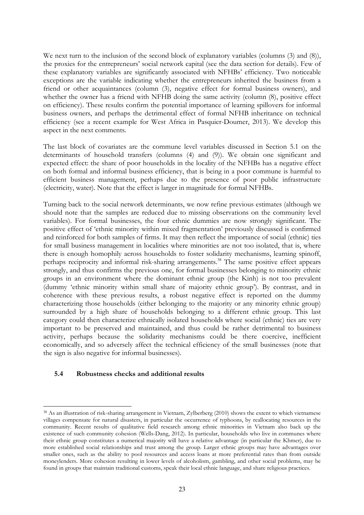We next turn to the inclusion of the second block of explanatory variables (columns (3) and (8)), the proxies for the entrepreneurs' social network capital (see the data section for details). Few of these explanatory variables are significantly associated with NFHBs' efficiency. Two noticeable exceptions are the variable indicating whether the entrepreneurs inherited the business from a friend or other acquaintances (column (3), negative effect for formal business owners), and whether the owner has a friend with NFHB doing the same activity (column (8), positive effect on efficiency). These results confirm the potential importance of learning spillovers for informal business owners, and perhaps the detrimental effect of formal NFHB inheritance on technical efficiency (see a recent example for West Africa in Pasquier-Doumer, 2013). We develop this aspect in the next comments.

The last block of covariates are the commune level variables discussed in Section 5.1 on the determinants of household transfers (columns (4) and (9)). We obtain one significant and expected effect: the share of poor households in the locality of the NFHBs has a negative effect on both formal and informal business efficiency, that is being in a poor commune is harmful to efficient business management, perhaps due to the presence of poor public infrastructure (electricity, water). Note that the effect is larger in magnitude for formal NFHBs.

Turning back to the social network determinants, we now refine previous estimates (although we should note that the samples are reduced due to missing observations on the community level variables). For formal businesses, the four ethnic dummies are now strongly significant. The positive effect of 'ethnic minority within mixed fragmentation' previously discussed is confirmed and reinforced for both samples of firms. It may then reflect the importance of social (ethnic) ties for small business management in localities where minorities are not too isolated, that is, where there is enough homophily across households to foster solidarity mechanisms, learning spinoff, perhaps reciprocity and informal risk-sharing arrangements.<sup>38</sup> The same positive effect appears strongly, and thus confirms the previous one, for formal businesses belonging to minority ethnic groups in an environment where the dominant ethnic group (the Kinh) is not too prevalent (dummy 'ethnic minority within small share of majority ethnic group'). By contrast, and in coherence with these previous results, a robust negative effect is reported on the dummy characterizing those households (either belonging to the majority or any minority ethnic group) surrounded by a high share of households belonging to a different ethnic group. This last category could then characterize ethnically isolated households where social (ethnic) ties are very important to be preserved and maintained, and thus could be rather detrimental to business activity, perhaps because the solidarity mechanisms could be there coercive, inefficient economically, and so adversely affect the technical efficiency of the small businesses (note that the sign is also negative for informal businesses).

#### 5.4 Robustness checks and additional results

<sup>38</sup> As an illustration of risk-sharing arrangement in Vietnam, Zylberberg (2010) shows the extent to which vietnamese villages compensate for natural disasters, in particular the occurrence of typhoons, by reallocating resources in the community. Recent results of qualitative field research among ethnic minorities in Vietnam also back up the existence of such community cohesion (Wells-Dang, 2012). In particular, households who live in communes where their ethnic group constitutes a numerical majority will have a relative advantage (in particular the Khmer), due to more established social relationships and trust among the group. Larger ethnic groups may have advantages over smaller ones, such as the ability to pool resources and access loans at more preferential rates than from outside moneylenders. More cohesion resulting in lower levels of alcoholism, gambling, and other social problems, may be found in groups that maintain traditional customs, speak their local ethnic language, and share religious practices.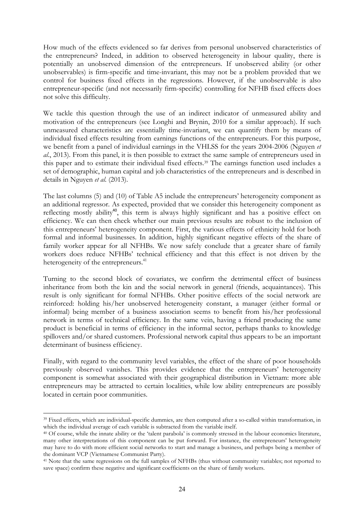How much of the effects evidenced so far derives from personal unobserved characteristics of the entrepreneurs? Indeed, in addition to observed heterogeneity in labour quality, there is potentially an unobserved dimension of the entrepreneurs. If unobserved ability (or other unobservables) is firm-specific and time-invariant, this may not be a problem provided that we control for business fixed effects in the regressions. However, if the unobservable is also entrepreneur-specific (and not necessarily firm-specific) controlling for NFHB fixed effects does not solve this difficulty.

We tackle this question through the use of an indirect indicator of unmeasured ability and motivation of the entrepreneurs (see Longhi and Brynin, 2010 for a similar approach). If such unmeasured characteristics are essentially time-invariant, we can quantify them by means of individual fixed effects resulting from earnings functions of the entrepreneurs. For this purpose, we benefit from a panel of individual earnings in the VHLSS for the years 2004-2006 (Nguyen et al., 2013). From this panel, it is then possible to extract the same sample of entrepreneurs used in this paper and to estimate their individual fixed effects.39 The earnings function used includes a set of demographic, human capital and job characteristics of the entrepreneurs and is described in details in Nguyen *et al.* (2013).

The last columns (5) and (10) of Table A5 include the entrepreneurs' heterogeneity component as an additional regressor. As expected, provided that we consider this heterogeneity component as reflecting mostly ability<sup>40</sup>, this term is always highly significant and has a positive effect on efficiency. We can then check whether our main previous results are robust to the inclusion of this entrepreneurs' heterogeneity component. First, the various effects of ethnicity hold for both formal and informal businesses. In addition, highly significant negative effects of the share of family worker appear for all NFHBs. We now safely conclude that a greater share of family workers does reduce NFHBs' technical efficiency and that this effect is not driven by the heterogeneity of the entrepreneurs.<sup>41</sup>

Turning to the second block of covariates, we confirm the detrimental effect of business inheritance from both the kin and the social network in general (friends, acquaintances). This result is only significant for formal NFHBs. Other positive effects of the social network are reinforced: holding his/her unobserved heterogeneity constant, a manager (either formal or informal) being member of a business association seems to benefit from his/her professional network in terms of technical efficiency. In the same vein, having a friend producing the same product is beneficial in terms of efficiency in the informal sector, perhaps thanks to knowledge spillovers and/or shared customers. Professional network capital thus appears to be an important determinant of business efficiency.

Finally, with regard to the community level variables, the effect of the share of poor households previously observed vanishes. This provides evidence that the entrepreneurs' heterogeneity component is somewhat associated with their geographical distribution in Vietnam: more able entrepreneurs may be attracted to certain localities, while low ability entrepreneurs are possibly located in certain poor communities.

<sup>&</sup>lt;sup>39</sup> Fixed effects, which are individual-specific dummies, are then computed after a so-called within transformation, in which the individual average of each variable is subtracted from the variable itself.

<sup>40</sup> Of course, while the innate ability or the 'talent parabola' is commonly stressed in the labour economics literature, many other interpretations of this component can be put forward. For instance, the entrepreneurs' heterogeneity may have to do with more efficient social networks to start and manage a business, and perhaps being a member of the dominant VCP (Vietnamese Communist Party).

<sup>41</sup> Note that the same regressions on the full samples of NFHBs (thus without community variables; not reported to save space) confirm these negative and significant coefficients on the share of family workers.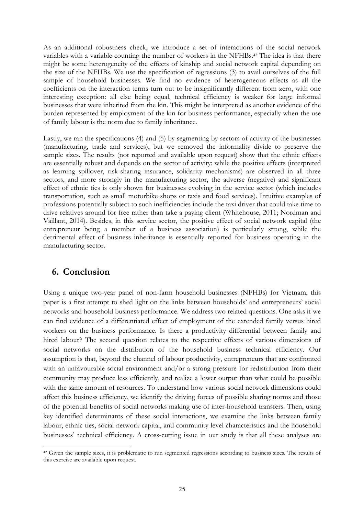As an additional robustness check, we introduce a set of interactions of the social network variables with a variable counting the number of workers in the NFHBs.42 The idea is that there might be some heterogeneity of the effects of kinship and social network capital depending on the size of the NFHBs. We use the specification of regressions (3) to avail ourselves of the full sample of household businesses. We find no evidence of heterogeneous effects as all the coefficients on the interaction terms turn out to be insignificantly different from zero, with one interesting exception: all else being equal, technical efficiency is weaker for large informal businesses that were inherited from the kin. This might be interpreted as another evidence of the burden represented by employment of the kin for business performance, especially when the use of family labour is the norm due to family inheritance.

Lastly, we ran the specifications (4) and (5) by segmenting by sectors of activity of the businesses (manufacturing, trade and services), but we removed the informality divide to preserve the sample sizes. The results (not reported and available upon request) show that the ethnic effects are essentially robust and depends on the sector of activity: while the positive effects (interpreted as learning spillover, risk-sharing insurance, solidarity mechanisms) are observed in all three sectors, and more strongly in the manufacturing sector, the adverse (negative) and significant effect of ethnic ties is only shown for businesses evolving in the service sector (which includes transportation, such as small motorbike shops or taxis and food services). Intuitive examples of professions potentially subject to such inefficiencies include the taxi driver that could take time to drive relatives around for free rather than take a paying client (Whitehouse, 2011; Nordman and Vaillant, 2014). Besides, in this service sector, the positive effect of social network capital (the entrepreneur being a member of a business association) is particularly strong, while the detrimental effect of business inheritance is essentially reported for business operating in the manufacturing sector.

## 6. Conclusion

 $\overline{a}$ 

Using a unique two-year panel of non-farm household businesses (NFHBs) for Vietnam, this paper is a first attempt to shed light on the links between households' and entrepreneurs' social networks and household business performance. We address two related questions. One asks if we can find evidence of a differentiated effect of employment of the extended family versus hired workers on the business performance. Is there a productivity differential between family and hired labour? The second question relates to the respective effects of various dimensions of social networks on the distribution of the household business technical efficiency. Our assumption is that, beyond the channel of labour productivity, entrepreneurs that are confronted with an unfavourable social environment and/or a strong pressure for redistribution from their community may produce less efficiently, and realize a lower output than what could be possible with the same amount of resources. To understand how various social network dimensions could affect this business efficiency, we identify the driving forces of possible sharing norms and those of the potential benefits of social networks making use of inter-household transfers. Then, using key identified determinants of these social interactions, we examine the links between family labour, ethnic ties, social network capital, and community level characteristics and the household businesses' technical efficiency. A cross-cutting issue in our study is that all these analyses are

<sup>&</sup>lt;sup>42</sup> Given the sample sizes, it is problematic to run segmented regressions according to business sizes. The results of this exercise are available upon request.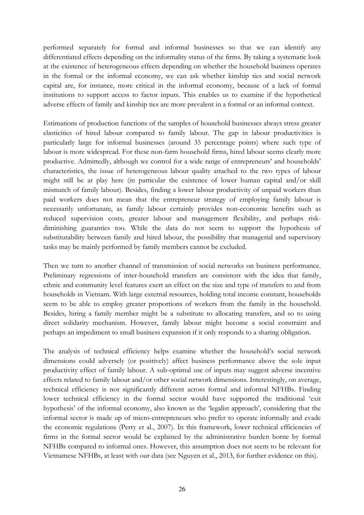performed separately for formal and informal businesses so that we can identify any differentiated effects depending on the informality status of the firms. By taking a systematic look at the existence of heterogeneous effects depending on whether the household business operates in the formal or the informal economy, we can ask whether kinship ties and social network capital are, for instance, more critical in the informal economy, because of a lack of formal institutions to support access to factor inputs. This enables us to examine if the hypothetical adverse effects of family and kinship ties are more prevalent in a formal or an informal context.

Estimations of production functions of the samples of household businesses always stress greater elasticities of hired labour compared to family labour. The gap in labour productivities is particularly large for informal businesses (around 35 percentage points) where such type of labour is more widespread. For these non-farm household firms, hired labour seems clearly more productive. Admittedly, although we control for a wide range of entrepreneurs' and households' characteristics, the issue of heterogeneous labour quality attached to the two types of labour might still be at play here (in particular the existence of lower human capital and/or skill mismatch of family labour). Besides, finding a lower labour productivity of unpaid workers than paid workers does not mean that the entrepreneur strategy of employing family labour is necessarily unfortunate, as family labour certainly provides non-economic benefits such as reduced supervision costs, greater labour and management flexibility, and perhaps riskdiminishing guaranties too. While the data do not seem to support the hypothesis of substitutability between family and hired labour, the possibility that managerial and supervisory tasks may be mainly performed by family members cannot be excluded.

Then we turn to another channel of transmission of social networks on business performance. Preliminary regressions of inter-household transfers are consistent with the idea that family, ethnic and community level features exert an effect on the size and type of transfers to and from households in Vietnam. With large external resources, holding total income constant, households seem to be able to employ greater proportions of workers from the family in the household. Besides, hiring a family member might be a substitute to allocating transfers, and so to using direct solidarity mechanism. However, family labour might become a social constraint and perhaps an impediment to small business expansion if it only responds to a sharing obligation.

The analysis of technical efficiency helps examine whether the household's social network dimensions could adversely (or positively) affect business performance above the sole input productivity effect of family labour. A sub-optimal use of inputs may suggest adverse incentive effects related to family labour and/or other social network dimensions. Interestingly, on average, technical efficiency is not significantly different across formal and informal NFHBs. Finding lower technical efficiency in the formal sector would have supported the traditional 'exit hypothesis' of the informal economy, also known as the 'legalist approach', considering that the informal sector is made up of micro-entrepreneurs who prefer to operate informally and evade the economic regulations (Perry et al., 2007). In this framework, lower technical efficiencies of firms in the formal sector would be explained by the administrative burden borne by formal NFHBs compared to informal ones. However, this assumption does not seem to be relevant for Vietnamese NFHBs, at least with our data (see Nguyen et al., 2013, for further evidence on this).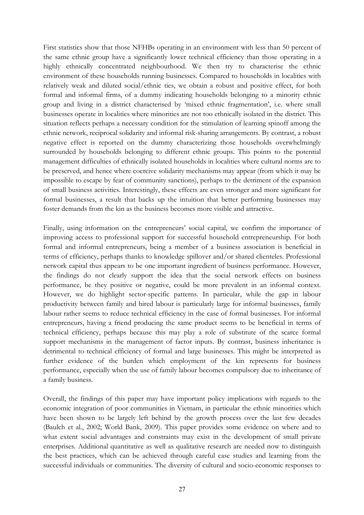First statistics show that those NFHBs operating in an environment with less than 50 percent of the same ethnic group have a significantly lower technical efficiency than those operating in a highly ethnically concentrated neighbourhood. We then try to characterise the ethnic environment of these households running businesses. Compared to households in localities with relatively weak and diluted social/ethnic ties, we obtain a robust and positive effect, for both formal and informal firms, of a dummy indicating households belonging to a minority ethnic group and living in a district characterised by 'mixed ethnic fragmentation', i.e. where small businesses operate in localities where minorities are not too ethnically isolated in the district. This situation reflects perhaps a necessary condition for the stimulation of learning spinoff among the ethnic network, reciprocal solidarity and informal risk-sharing arrangements. By contrast, a robust negative effect is reported on the dummy characterizing those households overwhelmingly surrounded by households belonging to different ethnic groups. This points to the potential management difficulties of ethnically isolated households in localities where cultural norms are to be preserved, and hence where coercive solidarity mechanisms may appear (from which it may be impossible to escape by fear of community sanctions), perhaps to the detriment of the expansion of small business activities. Interestingly, these effects are even stronger and more significant for formal businesses, a result that backs up the intuition that better performing businesses may foster demands from the kin as the business becomes more visible and attractive.

Finally, using information on the entrepreneurs' social capital, we confirm the importance of improving access to professional support for successful household entrepreneurship. For both formal and informal entrepreneurs, being a member of a business association is beneficial in terms of efficiency, perhaps thanks to knowledge spillover and/or shared clienteles. Professional network capital thus appears to be one important ingredient of business performance. However, the findings do not clearly support the idea that the social network effects on business performance, be they positive or negative, could be more prevalent in an informal context. However, we do highlight sector-specific patterns. In particular, while the gap in labour productivity between family and hired labour is particularly large for informal businesses, family labour rather seems to reduce technical efficiency in the case of formal businesses. For informal entrepreneurs, having a friend producing the same product seems to be beneficial in terms of technical efficiency, perhaps because this may play a role of substitute of the scarce formal support mechanisms in the management of factor inputs. By contrast, business inheritance is detrimental to technical efficiency of formal and large businesses. This might be interpreted as further evidence of the burden which employment of the kin represents for business performance, especially when the use of family labour becomes compulsory due to inheritance of a family business.

Overall, the findings of this paper may have important policy implications with regards to the economic integration of poor communities in Vietnam, in particular the ethnic minorities which have been shown to be largely left behind by the growth process over the last few decades (Baulch et al., 2002; World Bank, 2009). This paper provides some evidence on where and to what extent social advantages and constraints may exist in the development of small private enterprises. Additional quantitative as well as qualitative research are needed now to distinguish the best practices, which can be achieved through careful case studies and learning from the successful individuals or communities. The diversity of cultural and socio-economic responses to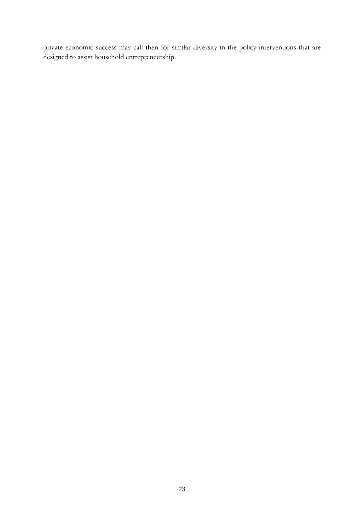private economic success may call then for similar diversity in the policy interventions that are designed to assist household entrepreneurship.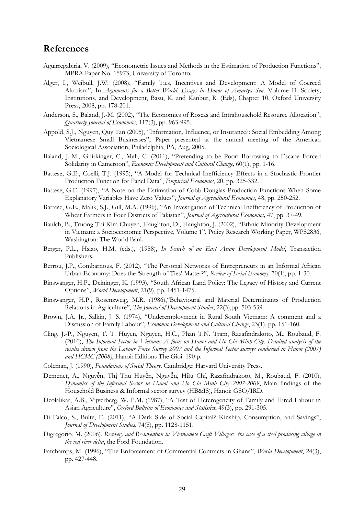#### References

- Aguirregabiria, V. (2009), "Econometric Issues and Methods in the Estimation of Production Functions", MPRA Paper No. 15973, University of Toronto.
- Alger, I., Weibull, J.W. (2008), "Family Ties, Incentives and Development: A Model of Coerced Altruism", In Arguments for a Better World: Essays in Honor of Amartya Sen. Volume II: Society, Institutions, and Development, Basu, K. and Kanbur, R. (Eds), Chapter 10, Oxford University Press, 2008, pp. 178-201.
- Anderson, S., Baland, J.-M. (2002), "The Economics of Roscas and Intrahousehold Resource Allocation", Quarterly Journal of Economics, 117(3), pp. 963-995.
- Appold, S.J., Nguyen, Quy Tan (2005), "Information, Influence, or Insurance?: Social Embedding Among Vietnamese Small Businesses", Paper presented at the annual meeting of the American Sociological Association, Philadelphia, PA, Aug, 2005.
- Baland, J.-M., Guirkinger, C., Mali, C. (2011), "Pretending to be Poor: Borrowing to Escape Forced Solidarity in Cameroon", Economic Development and Cultural Change, 60(1), pp. 1-16.
- Battese, G.E., Coelli, T.J. (1995), "A Model for Technical Inefficiency Effects in a Stochastic Frontier Production Function for Panel Data", Empirical Economics, 20, pp. 325-332.
- Battese, G.E. (1997), "A Note on the Estimation of Cobb-Douglas Production Functions When Some Explanatory Variables Have Zero Values", Journal of Agricultural Economics, 48, pp. 250-252.
- Battese, G.E., Malik, S.J., Gill, M.A. (1996), "An Investigation of Technical Inefficiency of Production of Wheat Farmers in Four Districts of Pakistan", Journal of Agricultural Economics, 47, pp. 37-49.
- Baulch, B., Truong Thi Kim Chuyen, Haughton, D., Haughton, J. (2002), "Ethnic Minority Development in Vietnam: a Socioeconomic Perspective, Volume 1", Policy Research Working Paper, WPS2836, Washington: The World Bank.
- Berger, P.L., Hsiao, H.M. (eds.), (1988), In Search of an East Asian Development Model, Transaction Publishers.
- Berrou, J.P., Combarnous, F. (2012), "The Personal Networks of Entrepreneurs in an Informal African Urban Economy: Does the 'Strength of Ties' Matter?", Review of Social Economy, 70(1), pp. 1-30.
- Binswanger, H.P., Deininger, K. (1993), "South African Land Policy: The Legacy of History and Current Options", World Development, 21(9), pp. 1451-1475.
- Binswanger, H.P., Rosenzweig, M.R. (1986),"Behavioural and Material Determinants of Production Relations in Agriculture", The Journal of Development Studies, 22(3),pp. 503-539.
- Brown, J.A. Jr., Salkin, J. S. (1974), "Underemployment in Rural South Vietnam: A comment and a Discussion of Family Labour", Economic Development and Cultural Change, 23(1), pp. 151-160.
- Cling, J.-P., Nguyen, T. T. Huyen, Nguyen, H.C., Phan T.N. Tram, Razafindrakoto, M., Roubaud, F. (2010), The Informal Sector in Vietnam: A focus on Hanoi and Ho Chi Minh City. Detailed analysis of the results drawn from the Labour Force Survey 2007 and the Informal Sector surveys conducted in Hanoi (2007) and HCMC (2008), Hanoi: Editions The Gioi. 190 p.
- Coleman, J. (1990), Foundations of Social Theory. Cambridge: Harvard University Press.
- Demenet, A., Nguyễn, Thị Thu Huyền, Nguyễn, Hữu Chí, Razafindrakoto, M., Roubaud, F. (2010), Dynamics of the Informal Sector in Hanoi and Ho Chi Minh City 2007-2009, Main findings of the Household Business & Informal sector survey (HB&IS), Hanoi: GSO/IRD.
- Deolalikar, A.B., Vijverberg, W. P.M. (1987), "A Test of Heterogeneity of Family and Hired Labour in Asian Agriculture", Oxford Bulletin of Economics and Statistics, 49(3), pp. 291-305.
- Di Falco, S., Bulte, E. (2011), "A Dark Side of Social Capital? Kinship, Consumption, and Savings", Journal of Development Studies, 74(8), pp. 1128-1151.
- Digregorio, M. (2006), Recovery and Re-invention in Vietnamese Craft Villages: the case of a steel producing village in the red river delta, the Ford Foundation.
- Fafchamps, M. (1996), "The Enforcement of Commercial Contracts in Ghana", World Development, 24(3), pp. 427-448.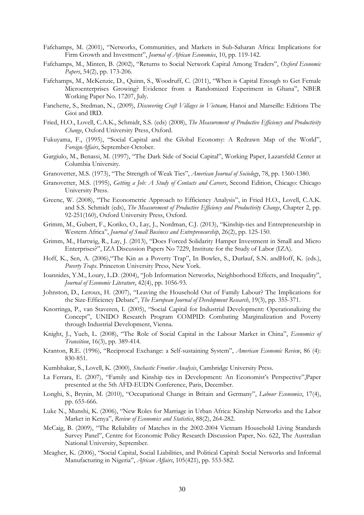- Fafchamps, M. (2001), "Networks, Communities, and Markets in Sub-Saharan Africa: Implications for Firm Growth and Investment", Journal of African Economies, 10, pp. 119-142.
- Fafchamps, M., Minten, B. (2002), "Returns to Social Network Capital Among Traders", Oxford Economic Papers, 54(2), pp. 173-206.
- Fafchamps, M., McKenzie, D., Quinn, S., Woodruff, C. (2011), "When is Capital Enough to Get Female Microenterprises Growing? Evidence from a Randomized Experiment in Ghana", NBER Working Paper No. 17207, July.
- Fanchette, S., Stedman, N., (2009), Discovering Craft Villages in Vietnam, Hanoi and Marseille: Editions The Gioi and IRD.
- Fried, H.O., Lovell, C.A.K., Schmidt, S.S. (eds) (2008), The Measurement of Productive Efficiency and Productivity Change, Oxford University Press, Oxford.
- Fukuyama, F., (1995), "Social Capital and the Global Economy: A Redrawn Map of the World", ForeignAffairs, September-October.
- Gargiulo, M., Benassi, M. (1997), "The Dark Side of Social Capital", Working Paper, Lazarsfeld Center at Columbia University.
- Granovetter, M.S. (1973), "The Strength of Weak Ties", American Journal of Sociology, 78, pp. 1360-1380.
- Granovetter, M.S. (1995), Getting a Job: A Study of Contacts and Careers, Second Edition, Chicago: Chicago University Press.
- Greene, W. (2008), "The Econometric Approach to Efficiency Analysis", in Fried H.O., Lovell, C.A.K. and S.S. Schmidt (eds), The Measurement of Productive Efficiency and Productivity Change, Chapter 2, pp. 92-251(160), Oxford University Press, Oxford.
- Grimm, M., Gubert, F., Koriko, O., Lay, J., Nordman, C.J. (2013), "Kinship-ties and Entrepreneurship in Western Africa", Journal of Small Business and Entrepreneurship, 26(2), pp. 125-150.
- Grimm, M., Hartwig, R., Lay, J. (2013), "Does Forced Solidarity Hamper Investment in Small and Micro Enterprises?", IZA Discussion Papers No 7229, Institute for the Study of Labor (IZA).
- Hoff, K., Sen, A. (2006),"The Kin as a Poverty Trap", In Bowles, S., Durlauf, S.N. andHoff, K. (eds.), Poverty Traps. Princeton University Press, New York.
- Ioannides, Y.M., Loury, L.D. (2004), "Job Information Networks, Neighborhood Effects, and Inequality", Journal of Economic Literature, 42(4), pp. 1056-93.
- Johnston, D., Leroux, H. (2007), "Leaving the Household Out of Family Labour? The Implications for the Size-Efficiency Debate", The European Journal of Development Research, 19(3), pp. 355-371.
- Knorringa, P., van Staveren, I. (2005), "Social Capital for Industrial Development: Operationalizing the Concept", UNIDO Research Program COMPID: Combating Marginalization and Poverty through Industrial Development, Vienna.
- Knight, J., Yueh, L. (2008), "The Role of Social Capital in the Labour Market in China", Economics of Transition, 16(3), pp. 389-414.
- Kranton, R.E. (1996), "Reciprocal Exchange: a Self-sustaining System", American Economic Review, 86 (4): 830-851.
- Kumbhakar, S., Lovell, K. (2000), Stochastic Frontier Analysis, Cambridge University Press.
- La Ferrara, E. (2007), "Family and Kinship ties in Development: An Economist's Perspective",Paper presented at the 5th AFD-EUDN Conference, Paris, December.
- Longhi, S., Brynin, M. (2010), "Occupational Change in Britain and Germany", Labour Economics, 17(4), pp. 655-666.
- Luke N., Munshi, K. (2006), "New Roles for Marriage in Urban Africa: Kinship Networks and the Labor Market in Kenya", Review of Economics and Statistics, 88(2), 264-282.
- McCaig, B. (2009), "The Reliability of Matches in the 2002-2004 Vietnam Household Living Standards Survey Panel", Centre for Economic Policy Research Discussion Paper, No. 622, The Australian National University, September.
- Meagher, K. (2006), "Social Capital, Social Liabilities, and Political Capital: Social Networks and Informal Manufacturing in Nigeria", African Affairs, 105(421), pp. 553-582.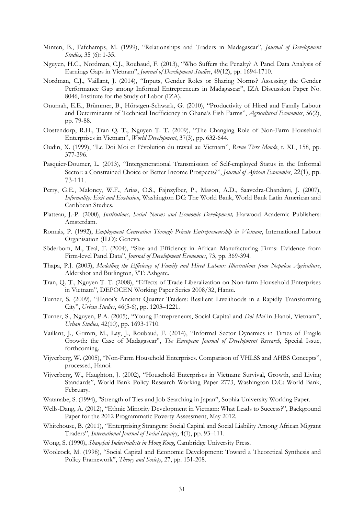- Minten, B., Fafchamps, M. (1999), "Relationships and Traders in Madagascar", Journal of Development Studies, 35 (6): 1-35.
- Nguyen, H.C., Nordman, C.J., Roubaud, F. (2013), "Who Suffers the Penalty? A Panel Data Analysis of Earnings Gaps in Vietnam", Journal of Development Studies, 49(12), pp. 1694-1710.
- Nordman, C.J., Vaillant, J. (2014), "Inputs, Gender Roles or Sharing Norms? Assessing the Gender Performance Gap among Informal Entrepreneurs in Madagascar", IZA Discussion Paper No. 8046, Institute for the Study of Labor (IZA).
- Onumah, E.E., Brümmer, B., Hörstgen-Schwark, G. (2010), "Productivity of Hired and Family Labour and Determinants of Technical Inefficiency in Ghana's Fish Farms", Agricultural Economics, 56(2), pp. 79-88.
- Oostendorp, R.H., Tran Q. T., Nguyen T. T. (2009), "The Changing Role of Non-Farm Household Enterprises in Vietnam", World Development, 37(3), pp. 632-644.
- Oudin, X. (1999), "Le Doi Moi et l'évolution du travail au Vietnam", Revue Tiers Monde, t. XL, 158, pp. 377-396.
- Pasquier-Doumer, L. (2013), "Intergenerational Transmission of Self-employed Status in the Informal Sector: a Constrained Choice or Better Income Prospects?", Journal of African Economies, 22(1), pp. 73-111.
- Perry, G.E., Maloney, W.F., Arias, O.S., Fajnzylber, P., Mason, A.D., Saavedra-Chanduvi, J. (2007), Informality: Exit and Exclusion, Washington DC: The World Bank, World Bank Latin American and Caribbean Studies.
- Platteau, J.-P. (2000), *Institutions, Social Norms and Economic Development*, Harwood Academic Publishers: Amsterdam.
- Ronnås, P. (1992), Employment Generation Through Private Entrepreneurship in Vietnam, International Labour Organisation (ILO): Geneva.
- Söderbom, M., Teal, F. (2004), "Size and Efficiency in African Manufacturing Firms: Evidence from Firm-level Panel Data", Journal of Development Economics, 73, pp. 369-394.
- Thapa, P.J. (2003), Modelling the Efficiency of Family and Hired Labour: Illustrations from Nepalese Agriculture, Aldershot and Burlington, VT: Ashgate.
- Tran, Q. T., Nguyen T. T. (2008), "Effects of Trade Liberalization on Non-farm Household Enterprises in Vietnam", DEPOCEN Working Paper Series 2008/32, Hanoi.
- Turner, S. (2009), "Hanoi's Ancient Quarter Traders: Resilient Livelihoods in a Rapidly Transforming City", Urban Studies, 46(5-6), pp. 1203–1221.
- Turner, S., Nguyen, P.A. (2005), "Young Entrepreneurs, Social Capital and Doi Moi in Hanoi, Vietnam", Urban Studies, 42(10), pp. 1693-1710.
- Vaillant, J., Grimm, M., Lay, J., Roubaud, F. (2014), "Informal Sector Dynamics in Times of Fragile Growth: the Case of Madagascar", The European Journal of Development Research, Special Issue, forthcoming.
- Vijverberg, W. (2005), "Non-Farm Household Enterprises. Comparison of VHLSS and AHBS Concepts", processed, Hanoi.
- Vijverberg, W., Haughton, J. (2002), "Household Enterprises in Vietnam: Survival, Growth, and Living Standards", World Bank Policy Research Working Paper 2773, Washington D.C: World Bank, February.
- Watanabe, S. (1994), "Strength of Ties and Job-Searching in Japan", Sophia University Working Paper.
- Wells-Dang, A. (2012), "Ethnic Minority Development in Vietnam: What Leads to Success?", Background Paper for the 2012 Programmatic Poverty Assessment, May 2012.
- Whitehouse, B. (2011), "Enterprising Strangers: Social Capital and Social Liability Among African Migrant Traders", International Journal of Social Inquiry, 4(1), pp. 93–111.
- Wong, S. (1990), Shanghai Industrialists in Hong Kong, Cambridge University Press.
- Woolcock, M. (1998), "Social Capital and Economic Development: Toward a Theoretical Synthesis and Policy Framework", Theory and Society, 27, pp. 151-208.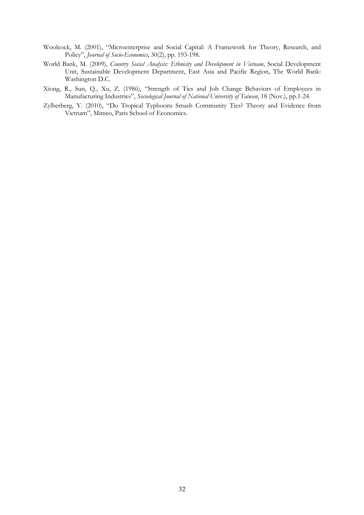- Woolcock, M. (2001), "Microenterprise and Social Capital: A Framework for Theory, Research, and Policy", Journal of Socio-Economics, 30(2), pp. 193-198.
- World Bank, M. (2009), Country Social Analysis: Ethnicity and Development in Vietnam, Social Development Unit, Sustainable Development Department, East Asia and Pacific Region, The World Bank: Washington D.C.
- Xiong, R., Sun, Q., Xu, Z. (1986), "Strength of Ties and Job Change Behaviors of Employees in Manufacturing Industries", Sociological Journal of National University of Taiwan, 18 (Nov.), pp.1-24.
- Zylberberg, Y. (2010), "Do Tropical Typhoons Smash Community Ties? Theory and Evidence from Vietnam", Mimeo, Paris School of Economics.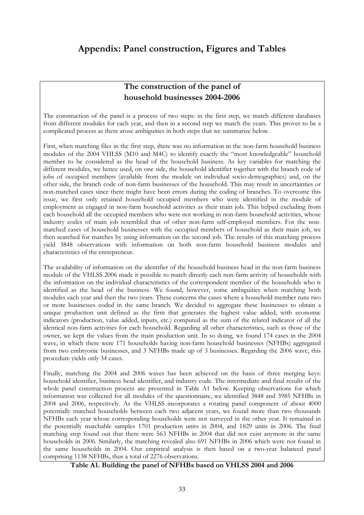## Appendix: Panel construction, Figures and Tables

### The construction of the panel of household businesses 2004-2006

The construction of the panel is a process of two steps: in the first step, we match different databases from different modules for each year, and then in a second step we match the years. This proves to be a complicated process as there arose ambiguities in both steps that we summarize below.

First, when matching files in the first step, there was no information in the non-farm household business modules of the 2004 VHLSS (M10 and M4C) to identify exactly the "most knowledgeable" household member to be considered as the head of the household business. As key variables for matching the different modules, we hence used, on one side, the household identifier together with the branch code of jobs of occupied members (available from the module on individual socio-demographics) and, on the other side, the branch code of non-farm businesses of the household. This may result in uncertainties or non-matched cases since there might have been errors during the coding of branches. To overcome this issue, we first only retained household occupied members who were identified in the module of employment as engaged in non-farm household activities as their main job. This helped excluding from each household all the occupied members who were not working in non-farm household activities, whose industry codes of main job resembled that of other non-farm self-employed members. For the nonmatched cases of household businesses with the occupied members of household as their main job, we then searched for matches by using information on the second job. The results of this matching process yield 3848 observations with information on both non-farm household business modules and characteristics of the entrepreneur.

The availability of information on the identifier of the household business head in the non-farm business module of the VHLSS 2006 made it possible to match directly each non-farm activity of households with the information on the individual characteristics of the correspondent member of the households who is identified as the head of the business. We found, however, some ambiguities when matching both modules each year and then the two years. These concerns the cases where a household member runs two or more businesses coded in the same branch. We decided to aggregate these businesses to obtain a unique production unit defined as the firm that generates the highest value added, with economic indicators (production, value added, inputs, etc.) computed as the sum of the related indicator of all the identical non-farm activities for each household. Regarding all other characteristics, such as those of the owner, we kept the values from the main production unit. In so doing, we found 174 cases in the 2004 wave, in which there were 171 households having non-farm household businesses (NFHBs) aggregated from two embryonic businesses, and 3 NFHBs made up of 3 businesses. Regarding the 2006 wave, this procedure yields only 34 cases.

Finally, matching the 2004 and 2006 waves has been achieved on the basis of three merging keys: household identifier, business head identifier, and industry code. The intermediate and final results of the whole panel construction process are presented in Table A1 below. Keeping observations for which information was collected for all modules of the questionnaire, we identified 3848 and 3985 NFHBs in 2004 and 2006, respectively. As the VHLSS incorporates a rotating panel component of about 4000 potentially matched households between each two adjacent years, we found more than two thousands NFHBs each year whose corresponding households were not surveyed in the other year. It remained in the potentially matchable samples 1701 production units in 2004, and 1829 units in 2006. The final matching step found out that there were 563 NFHBs in 2004 that did not exist anymore in the same households in 2006. Similarly, the matching revealed also 691 NFHBs in 2006 which were not found in the same households in 2004. Our empirical analysis is then based on a two-year balanced panel comprising 1138 NFHBs, thus a total of 2276 observations.

Table A1. Building the panel of NFHBs based on VHLSS 2004 and 2006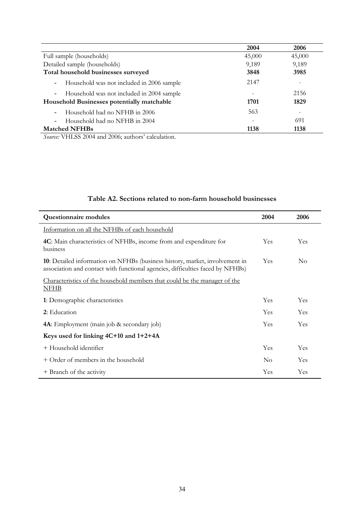|                                                                       | 2004   | 2006   |
|-----------------------------------------------------------------------|--------|--------|
| Full sample (households)                                              | 45,000 | 45,000 |
| Detailed sample (households)                                          | 9,189  | 9,189  |
| Total household businesses surveyed                                   | 3848   | 3985   |
| Household was not included in 2006 sample<br>$\overline{\phantom{a}}$ | 2147   |        |
| Household was not included in 2004 sample<br>$\overline{\phantom{a}}$ |        | 2156   |
| Household Businesses potentially matchable                            | 1701   | 1829   |
| Household had no NFHB in 2006<br>$\overline{\phantom{a}}$             | 563    |        |
| Household had no NFHB in 2004<br>$\overline{\phantom{a}}$             |        | 691    |
| <b>Matched NFHBs</b>                                                  | 1138   | 1138   |

Source: VHLSS 2004 and 2006; authors' calculation.

| Questionnaire modules                                                                                                                                         | 2004     | 2006     |
|---------------------------------------------------------------------------------------------------------------------------------------------------------------|----------|----------|
| Information on all the NFHBs of each household                                                                                                                |          |          |
| <b>4C</b> : Main characteristics of NFHBs, income from and expenditure for<br>business                                                                        | Yes      | Yes      |
| 10: Detailed information on NFHBs (business history, market, involvement in<br>association and contact with functional agencies, difficulties faced by NFHBs) | Yes      | $\rm No$ |
| Characteristics of the household members that could be the manager of the<br><b>NFHB</b>                                                                      |          |          |
| 1: Demographic characteristics                                                                                                                                | Yes      | Yes      |
| 2: Education                                                                                                                                                  | Yes      | Yes      |
| <b>4A</b> : Employment (main job & secondary job)                                                                                                             | Yes      | Yes      |
| Keys used for linking $4C+10$ and $1+2+4A$                                                                                                                    |          |          |
| + Household identifier                                                                                                                                        | Yes      | Yes      |
| + Order of members in the household                                                                                                                           | $\rm No$ | Yes      |
| + Branch of the activity                                                                                                                                      | Yes      | Yes      |

## Table A2. Sections related to non-farm household businesses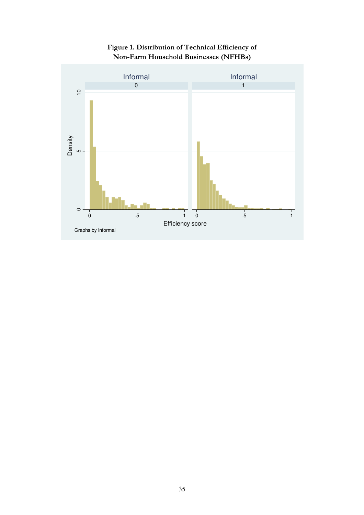

Figure 1. Distribution of Technical Efficiency of Non-Farm Household Businesses (NFHBs)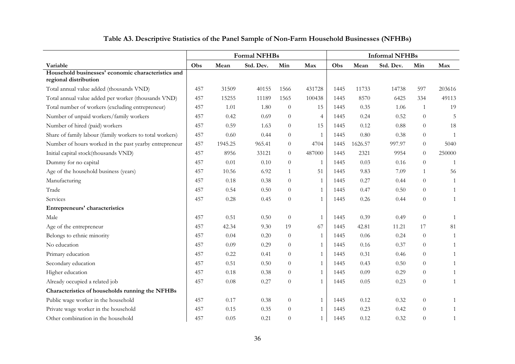|                                                                             | <b>Formal NFHBs</b>                    |         |        |                  |                | <b>Informal NFHBs</b> |         |           |                |                |
|-----------------------------------------------------------------------------|----------------------------------------|---------|--------|------------------|----------------|-----------------------|---------|-----------|----------------|----------------|
| Variable                                                                    | Obs<br>Std. Dev.<br>Min<br>Max<br>Mean |         |        |                  |                |                       | Mean    | Std. Dev. | Min            | Max            |
| Household businesses' economic characteristics and<br>regional distribution |                                        |         |        |                  |                |                       |         |           |                |                |
| Total annual value added (thousands VND)                                    | 457                                    | 31509   | 40155  | 1566             | 431728         | 1445                  | 11733   | 14738     | 597            | 203616         |
| Total annual value added per worker (thousands VND)                         | 457                                    | 15255   | 11189  | 1565             | 100438         | 1445                  | 8570    | 6425      | 334            | 49113          |
| Total number of workers (excluding entrepreneur)                            | 457                                    | 1.01    | 1.80   | $\theta$         | 15             | 1445                  | 0.35    | 1.06      | 1              | 19             |
| Number of unpaid workers/family workers                                     | 457                                    | 0.42    | 0.69   | $\theta$         | $\overline{4}$ | 1445                  | 0.24    | 0.52      | $\overline{0}$ | 5              |
| Number of hired (paid) workers                                              | 457                                    | 0.59    | 1.63   | $\boldsymbol{0}$ | 15             | 1445                  | 0.12    | 0.88      | $\overline{0}$ | 18             |
| Share of family labour (family workers to total workers)                    | 457                                    | 0.60    | 0.44   | $\theta$         | 1              | 1445                  | 0.80    | 0.38      | $\overline{0}$ |                |
| Number of hours worked in the past yearby entrepreneur                      | 457                                    | 1945.25 | 965.41 | $\theta$         | 4704           | 1445                  | 1626.57 | 997.97    | $\overline{0}$ | 5040           |
| Initial capital stock(thousands VND)                                        | 457                                    | 8956    | 33121  | $\overline{0}$   | 487000         | 1445                  | 2321    | 9954      | $\overline{0}$ | 250000         |
| Dummy for no capital                                                        | 457                                    | 0.01    | 0.10   | $\boldsymbol{0}$ | 1              | 1445                  | 0.03    | 0.16      | $\theta$       | $\overline{1}$ |
| Age of the household business (years)                                       | 457                                    | 10.56   | 6.92   | $\mathbf{1}$     | 51             | 1445                  | 9.83    | 7.09      | 1              | 56             |
| Manufacturing                                                               | 457                                    | 0.18    | 0.38   | $\boldsymbol{0}$ | 1              | 1445                  | 0.27    | 0.44      | $\overline{0}$ | $\mathbf{1}$   |
| Trade                                                                       | 457                                    | 0.54    | 0.50   | $\boldsymbol{0}$ | 1              | 1445                  | 0.47    | 0.50      | $\theta$       |                |
| Services                                                                    | 457                                    | 0.28    | 0.45   | $\boldsymbol{0}$ | $\mathbf{1}$   | 1445                  | 0.26    | 0.44      | $\theta$       | $\mathbf{1}$   |
| Entrepreneurs' characteristics                                              |                                        |         |        |                  |                |                       |         |           |                |                |
| Male                                                                        | 457                                    | 0.51    | 0.50   | $\boldsymbol{0}$ | $\mathbf{1}$   | 1445                  | 0.39    | 0.49      | $\overline{0}$ |                |
| Age of the entrepreneur                                                     | 457                                    | 42.34   | 9.30   | 19               | 67             | 1445                  | 42.81   | 11.21     | 17             | 81             |
| Belongs to ethnic minority                                                  | 457                                    | 0.04    | 0.20   | $\boldsymbol{0}$ | 1              | 1445                  | 0.06    | 0.24      | $\overline{0}$ |                |
| No education                                                                | 457                                    | 0.09    | 0.29   | $\theta$         | $\mathbf{1}$   | 1445                  | 0.16    | 0.37      | $\theta$       |                |
| Primary education                                                           | 457                                    | 0.22    | 0.41   | $\theta$         | $\mathbf{1}$   | 1445                  | 0.31    | 0.46      | $\theta$       |                |
| Secondary education                                                         | 457                                    | 0.51    | 0.50   | $\boldsymbol{0}$ | $\mathbf{1}$   | 1445                  | 0.43    | 0.50      | $\theta$       |                |
| Higher education                                                            | 457                                    | 0.18    | 0.38   | $\boldsymbol{0}$ | 1              | 1445                  | 0.09    | 0.29      | $\overline{0}$ |                |
| Already occupied a related job                                              | 457                                    | 0.08    | 0.27   | $\boldsymbol{0}$ | 1              | 1445                  | 0.05    | 0.23      | $\overline{0}$ |                |
| Characteristics of households running the NFHBs                             |                                        |         |        |                  |                |                       |         |           |                |                |
| Public wage worker in the household                                         | 457                                    | 0.17    | 0.38   | $\boldsymbol{0}$ | 1              | 1445                  | 0.12    | 0.32      | $\overline{0}$ |                |
| Private wage worker in the household                                        | 457                                    | 0.15    | 0.35   | $\theta$         | 1              | 1445                  | 0.23    | 0.42      | $\theta$       |                |
| Other combination in the household                                          | 457                                    | 0.05    | 0.21   | $\boldsymbol{0}$ | $\mathbf{1}$   | 1445                  | 0.12    | 0.32      | $\theta$       |                |

#### Table A3. Descriptive Statistics of the Panel Sample of Non-Farm Household Businesses (NFHBs)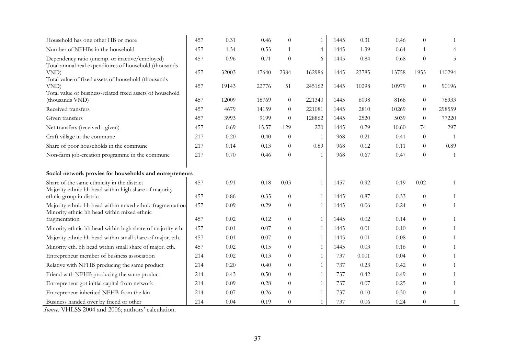| Household has one other HB or more                                                                       | 457 | 0.31  | 0.46  | $\theta$ | $\mathbf{1}$   | 1445 | 0.31  | 0.46  | $\Omega$       |                |
|----------------------------------------------------------------------------------------------------------|-----|-------|-------|----------|----------------|------|-------|-------|----------------|----------------|
| Number of NFHBs in the household                                                                         | 457 | 1.34  | 0.53  | 1        | $\overline{4}$ | 1445 | 1.39  | 0.64  | $\mathbf{1}$   | 4              |
| Dependency ratio (unemp. or inactive/employed)<br>Total annual real expenditures of household (thousands | 457 | 0.96  | 0.71  | $\theta$ | 6              | 1445 | 0.84  | 0.68  | $\overline{0}$ | 5              |
| VND)<br>Total value of fixed assets of household (thousands                                              | 457 | 32003 | 17640 | 2384     | 162986         | 1445 | 23785 | 13758 | 1953           | 110294         |
| VND)                                                                                                     | 457 | 19143 | 22776 | 51       | 245162         | 1445 | 10298 | 10979 | $\overline{0}$ | 90196          |
| Total value of business-related fixed assets of household<br>(thousands VND)                             | 457 | 12009 | 18769 | $\theta$ | 221340         | 1445 | 6098  | 8168  | $\overline{0}$ | 78933          |
| Received transfers                                                                                       | 457 | 4679  | 14159 | $\theta$ | 221081         | 1445 | 2810  | 10269 | $\theta$       | 298559         |
| Given transfers                                                                                          | 457 | 3993  | 9199  | $\theta$ | 128862         | 1445 | 2520  | 5039  | $\Omega$       | 77220          |
| Net transfers (received - given)                                                                         | 457 | 0.69  | 15.57 | $-129$   | 220            | 1445 | 0.29  | 10.60 | $-74$          | 297            |
| Craft village in the commune                                                                             | 217 | 0.20  | 0.40  | $\theta$ | $\mathbf{1}$   | 968  | 0.21  | 0.41  | $\theta$       | $\mathbf{1}$   |
| Share of poor households in the commune                                                                  | 217 | 0.14  | 0.13  | $\theta$ | 0.89           | 968  | 0.12  | 0.11  | $\Omega$       | 0.89           |
| Non-farm job-creation programme in the commune                                                           | 217 | 0.70  | 0.46  | $\theta$ | $\mathbf{1}$   | 968  | 0.67  | 0.47  | $\overline{0}$ | $\overline{1}$ |
| Social network proxies for households and entrepreneurs                                                  |     |       |       |          |                |      |       |       |                |                |
| Share of the same ethnicity in the district<br>Majority ethnic hh head within high share of majority     | 457 | 0.91  | 0.18  | 0.03     | 1              | 1457 | 0.92  | 0.19  | 0.02           |                |
| ethnic group in district                                                                                 | 457 | 0.86  | 0.35  | $\theta$ | $\mathbf{1}$   | 1445 | 0.87  | 0.33  | $\overline{0}$ | $\mathbf{1}$   |
| Majority ethnic hh head within mixed ethnic fragmentation<br>Minority ethnic hh head within mixed ethnic | 457 | 0.09  | 0.29  | $\theta$ | $\mathbf{1}$   | 1445 | 0.06  | 0.24  | $\Omega$       | $\mathbf{1}$   |
| fragmentation                                                                                            | 457 | 0.02  | 0.12  | $\theta$ | 1              | 1445 | 0.02  | 0.14  | $\theta$       |                |
| Minority ethnic hh head within high share of majority eth.                                               | 457 | 0.01  | 0.07  | $\theta$ | 1              | 1445 | 0.01  | 0.10  | $\theta$       |                |
| Majority ethnic hh head within small share of major. eth.                                                | 457 | 0.01  | 0.07  | $\theta$ | $\mathbf{1}$   | 1445 | 0.01  | 0.08  | $\overline{0}$ |                |
| Minority eth. hh head within small share of major. eth.                                                  | 457 | 0.02  | 0.15  | $\theta$ | $\mathbf{1}$   | 1445 | 0.03  | 0.16  | $\theta$       |                |
| Entrepreneur member of business association                                                              | 214 | 0.02  | 0.13  | $\theta$ | 1              | 737  | 0.001 | 0.04  | $\theta$       |                |
| Relative with NFHB producing the same product                                                            | 214 | 0.20  | 0.40  | $\theta$ | $\mathbf{1}$   | 737  | 0.23  | 0.42  | $\Omega$       |                |
| Friend with NFHB producing the same product                                                              | 214 | 0.43  | 0.50  | $\theta$ | $\mathbf{1}$   | 737  | 0.42  | 0.49  | $\Omega$       |                |
| Entrepreneur got initial capital from network                                                            | 214 | 0.09  | 0.28  | $\theta$ | $\mathbf{1}$   | 737  | 0.07  | 0.25  | $\Omega$       |                |
| Entrepreneur inherited NFHB from the kin                                                                 | 214 | 0.07  | 0.26  | $\theta$ | $\mathbf{1}$   | 737  | 0.10  | 0.30  | $\theta$       |                |
| Business handed over by friend or other                                                                  | 214 | 0.04  | 0.19  | $\Omega$ |                | 737  | 0.06  | 0.24  | $\Omega$       |                |

Source: VHLSS 2004 and 2006; authors' calculation.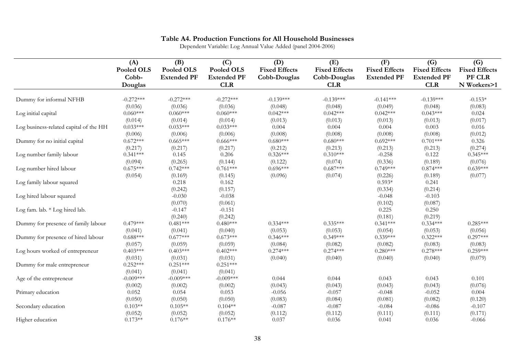#### Table A4. Production Functions for All Household Businesses

Dependent Variable: Log Annual Value Added (panel 2004-2006)

|                                        | (A)         | (B)                | (C)                | (D)                  | (E)                  | (F)                  | (G)                  | (G)                  |
|----------------------------------------|-------------|--------------------|--------------------|----------------------|----------------------|----------------------|----------------------|----------------------|
|                                        | Pooled OLS  | Pooled OLS         | Pooled OLS         | <b>Fixed Effects</b> | <b>Fixed Effects</b> | <b>Fixed Effects</b> | <b>Fixed Effects</b> | <b>Fixed Effects</b> |
|                                        | Cobb-       | <b>Extended PF</b> | <b>Extended PF</b> | Cobb-Douglas         | Cobb-Douglas         | <b>Extended PF</b>   | <b>Extended PF</b>   | PF CLR               |
|                                        | Douglas     |                    | <b>CLR</b>         |                      | <b>CLR</b>           |                      | <b>CLR</b>           | N Workers>1          |
| Dummy for informal NFHB                | $-0.272***$ | $-0.272***$        | $-0.272***$        | $-0.139***$          | $-0.139***$          | $-0.141***$          | $-0.139***$          | $-0.153*$            |
|                                        | (0.036)     | (0.036)            | (0.036)            | (0.048)              | (0.048)              | (0.049)              | (0.048)              | (0.083)              |
| Log initial capital                    | $0.060***$  | $0.060***$         | $0.060***$         | $0.042***$           | $0.042***$           | $0.042***$           | $0.043***$           | 0.024                |
|                                        | (0.014)     | (0.014)            | (0.014)            | (0.013)              | (0.013)              | (0.013)              | (0.013)              | (0.017)              |
| Log business-related capital of the HH | $0.033***$  | $0.033***$         | $0.033***$         | 0.004                | 0.004                | 0.004                | 0.003                | 0.016                |
|                                        | (0.006)     | (0.006)            | (0.006)            | (0.008)              | (0.008)              | (0.008)              | (0.008)              | (0.012)              |
| Dummy for no initial capital           | $0.672***$  | $0.665***$         | $0.666***$         | $0.680***$           | $0.680***$           | $0.692***$           | $0.701***$           | 0.326                |
|                                        | (0.217)     | (0.217)            | (0.217)            | (0.212)              | (0.213)              | (0.213)              | (0.213)              | (0.274)              |
| Log number family labour               | $0.341***$  | 0.145              | 0.206              | $0.326***$           | $0.310***$           | $-0.258$             | 0.122                | $0.345***$           |
|                                        | (0.094)     | (0.265)            | (0.144)            | (0.122)              | (0.074)              | (0.336)              | (0.189)              | (0.076)              |
| Log number hired labour                | $0.675***$  | $0.742***$         | $0.761***$         | $0.696***$           | $0.687***$           | $0.749***$           | $0.874***$           | $0.639***$           |
|                                        | (0.054)     | (0.169)            | (0.145)            | (0.096)              | (0.074)              | (0.226)              | (0.189)              | (0.077)              |
| Log family labour squared              |             | 0.218              | 0.162              |                      |                      | $0.593*$             | 0.241                |                      |
|                                        |             | (0.242)            | (0.157)            |                      |                      | (0.334)              | (0.214)              |                      |
| Log hired labour squared               |             | $-0.030$           | $-0.038$           |                      |                      | $-0.048$             | $-0.103$             |                      |
|                                        |             | (0.070)            | (0.061)            |                      |                      | (0.102)              | (0.087)              |                      |
| Log fam. lab. * Log hired lab.         |             | $-0.147$           | $-0.151$           |                      |                      | 0.225                | 0.250                |                      |
|                                        |             | (0.240)            | (0.242)            |                      |                      | (0.181)              | (0.219)              |                      |
| Dummy for presence of family labour    | $0.479***$  | $0.481***$         | $0.480***$         | $0.334***$           | $0.335***$           | $0.341***$           | $0.334***$           | $0.285***$           |
|                                        | (0.041)     | (0.041)            | (0.040)            | (0.053)              | (0.053)              | (0.054)              | (0.053)              | (0.056)              |
| Dummy for presence of hired labour     | $0.688***$  | $0.677***$         | $0.673***$         | $0.346***$           | $0.349***$           | $0.339***$           | $0.322***$           | $0.297***$           |
|                                        | (0.057)     | (0.059)            | (0.059)            | (0.084)              | (0.082)              | (0.082)              | (0.083)              | (0.083)              |
| Log hours worked of entrepreneur       | $0.403***$  | $0.403***$         | $0.402***$         | $0.274***$           | $0.274***$           | $0.280***$           | $0.278***$           | $0.259***$           |
|                                        | (0.031)     | (0.031)            | (0.031)            | (0.040)              | (0.040)              | (0.040)              | (0.040)              | (0.079)              |
| Dummy for male entrepreneur            | $0.252***$  | $0.251***$         | $0.251***$         |                      |                      |                      |                      |                      |
|                                        | (0.041)     | (0.041)            | (0.041)            |                      |                      |                      |                      |                      |
| Age of the entrepreneur                | $-0.009***$ | $-0.009***$        | $-0.009***$        | 0.044                | 0.044                | 0.043                | 0.043                | 0.101                |
|                                        | (0.002)     | (0.002)            | (0.002)            | (0.043)              | (0.043)              | (0.043)              | (0.043)              | (0.076)              |
| Primary education                      | 0.052       | 0.054              | 0.053              | $-0.056$             | $-0.057$             | $-0.048$             | $-0.052$             | 0.004                |
|                                        | (0.050)     | (0.050)            | (0.050)            | (0.083)              | (0.084)              | (0.081)              | (0.082)              | (0.120)              |
| Secondary education                    | $0.103**$   | $0.105**$          | $0.104**$          | $-0.087$             | $-0.087$             | $-0.084$             | $-0.086$             | $-0.107$             |
|                                        | (0.052)     | (0.052)            | (0.052)            | (0.112)              | (0.112)              | (0.111)              | (0.111)              | (0.171)              |
| Higher education                       | $0.173**$   | $0.176**$          | $0.176**$          | 0.037                | 0.036                | 0.041                | 0.036                | $-0.066$             |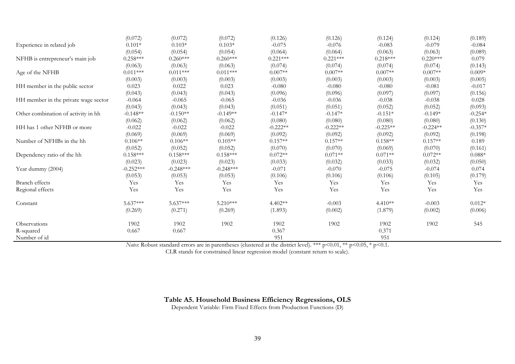|                                      | (0.072)     | (0.072)     | (0.072)     | (0.126)    | (0.126)    | (0.124)    | (0.124)    | (0.189)   |
|--------------------------------------|-------------|-------------|-------------|------------|------------|------------|------------|-----------|
| Experience in related job            | $0.101*$    | $0.103*$    | $0.103*$    | $-0.075$   | $-0.076$   | $-0.083$   | $-0.079$   | $-0.084$  |
|                                      | (0.054)     | (0.054)     | (0.054)     | (0.064)    | (0.064)    | (0.063)    | (0.063)    | (0.089)   |
| NFHB is entrepreneur's main job      | $0.258***$  | $0.260***$  | $0.260***$  | $0.221***$ | $0.221***$ | $0.218***$ | $0.220***$ | 0.079     |
|                                      | (0.063)     | (0.063)     | (0.063)     | (0.074)    | (0.074)    | (0.074)    | (0.074)    | (0.143)   |
| Age of the NFHB                      | $0.011***$  | $0.011***$  | $0.011***$  | $0.007**$  | $0.007**$  | $0.007**$  | $0.007**$  | $0.009*$  |
|                                      | (0.003)     | (0.003)     | (0.003)     | (0.003)    | (0.003)    | (0.003)    | (0.003)    | (0.005)   |
| HH member in the public sector       | 0.023       | 0.022       | 0.023       | $-0.080$   | $-0.080$   | $-0.080$   | $-0.081$   | $-0.017$  |
|                                      | (0.043)     | (0.043)     | (0.043)     | (0.096)    | (0.096)    | (0.097)    | (0.097)    | (0.156)   |
| HH member in the private wage sector | $-0.064$    | $-0.065$    | $-0.065$    | $-0.036$   | $-0.036$   | $-0.038$   | $-0.038$   | 0.028     |
|                                      | (0.043)     | (0.043)     | (0.043)     | (0.051)    | (0.051)    | (0.052)    | (0.052)    | (0.093)   |
| Other combination of activity in hh  | $-0.148**$  | $-0.150**$  | $-0.149**$  | $-0.147*$  | $-0.147*$  | $-0.151*$  | $-0.149*$  | $-0.254*$ |
|                                      | (0.062)     | (0.062)     | (0.062)     | (0.080)    | (0.080)    | (0.080)    | (0.080)    | (0.130)   |
| HH has 1 other NFHB or more          | $-0.022$    | $-0.022$    | $-0.022$    | $-0.222**$ | $-0.222**$ | $-0.225**$ | $-0.224**$ | $-0.357*$ |
|                                      | (0.069)     | (0.069)     | (0.069)     | (0.092)    | (0.092)    | (0.092)    | (0.092)    | (0.198)   |
| Number of NFHBs in the hh            | $0.106**$   | $0.106**$   | $0.105**$   | $0.157**$  | $0.157**$  | $0.158**$  | $0.157**$  | 0.189     |
|                                      | (0.052)     | (0.052)     | (0.052)     | (0.070)    | (0.070)    | (0.069)    | (0.070)    | (0.161)   |
| Dependency ratio of the hh           | $0.158***$  | $0.158***$  | $0.158***$  | $0.072**$  | $0.071**$  | $0.071**$  | $0.072**$  | $0.088*$  |
|                                      | (0.023)     | (0.023)     | (0.023)     | (0.033)    | (0.032)    | (0.033)    | (0.032)    | (0.050)   |
| Year dummy (2004)                    | $-0.252***$ | $-0.248***$ | $-0.248***$ | $-0.071$   | $-0.070$   | $-0.075$   | $-0.074$   | 0.074     |
|                                      | (0.053)     | (0.053)     | (0.053)     | (0.106)    | (0.106)    | (0.106)    | (0.105)    | (0.179)   |
| Branch effects                       | Yes         | Yes         | Yes         | Yes        | Yes        | Yes        | Yes        | Yes       |
| Regional effects                     | Yes         | Yes         | Yes         | Yes        | Yes        | Yes        | Yes        | Yes       |
| Constant                             | $5.637***$  | $5.637***$  | $5.210***$  | $4.402**$  | $-0.003$   | $4.410**$  | $-0.003$   | $0.012*$  |
|                                      | (0.269)     | (0.271)     | (0.269)     | (1.893)    | (0.002)    | (1.879)    | (0.002)    | (0.006)   |
| Observations                         | 1902        | 1902        | 1902        | 1902       | 1902       | 1902       | 1902       | 545       |
| R-squared                            | 0.667       | 0.667       |             | 0.367      |            | 0.371      |            |           |
| Number of id                         |             |             |             | 951        |            | 951        |            |           |

Notes: Robust standard errors are in parentheses (clustered at the district level). \*\*\* p<0.01, \*\* p<0.05, \* p<0.1.

CLR stands for constrained linear regression model (constant return to scale).

#### Table A5. Household Business Efficiency Regressions, OLS

Dependent Variable: Firm Fixed Effects from Production Functions (D)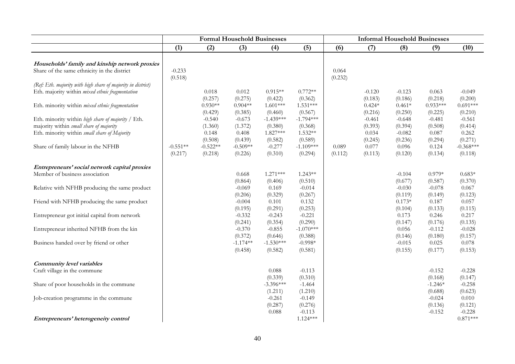|                                                                                                                                               | <b>Formal Household Businesses</b> |                                  |                                  |                                    |                                     | <b>Informal Household Businesses</b> |                              |                                 |                                 |                                   |  |
|-----------------------------------------------------------------------------------------------------------------------------------------------|------------------------------------|----------------------------------|----------------------------------|------------------------------------|-------------------------------------|--------------------------------------|------------------------------|---------------------------------|---------------------------------|-----------------------------------|--|
|                                                                                                                                               | (1)                                | (2)                              | (3)                              | (4)                                | (5)                                 | (6)                                  | (7)                          | (8)                             | (9)                             | (10)                              |  |
| Households' family and kinship network proxies                                                                                                |                                    |                                  |                                  |                                    |                                     |                                      |                              |                                 |                                 |                                   |  |
| Share of the same ethnicity in the district                                                                                                   | $-0.233$<br>(0.518)                |                                  |                                  |                                    |                                     | 0.064<br>(0.232)                     |                              |                                 |                                 |                                   |  |
| (Ref. Eth. majority with high share of majority in district)<br>Eth. majority within mixed ethnic fragmentation                               |                                    | 0.018<br>(0.257)                 | 0.012<br>(0.275)                 | $0.915**$<br>(0.422)               | $0.772**$<br>(0.362)                |                                      | $-0.120$<br>(0.183)          | $-0.123$<br>(0.186)             | 0.063<br>(0.218)                | $-0.049$<br>(0.200)               |  |
| Eth. minority within mixed ethnic fragmentation                                                                                               |                                    | $0.930**$<br>(0.429)             | $0.904**$<br>(0.385)             | $1.601***$<br>(0.460)              | $1.531***$<br>(0.567)               |                                      | $0.424*$<br>(0.216)          | $0.461*$<br>(0.250)             | $0.933***$<br>(0.225)           | $0.691***$<br>(0.210)             |  |
| Eth. minority within high share of majority / Eth.<br>majority within small share of majority<br>Eth. minority within small share of Majority |                                    | $-0.540$<br>(1.360)<br>0.148     | $-0.673$<br>(1.372)<br>0.408     | $-1.439***$<br>(0.380)<br>1.827*** | $-1.794***$<br>(0.368)<br>$1.532**$ |                                      | $-0.461$<br>(0.393)<br>0.034 | $-0.648$<br>(0.394)<br>$-0.082$ | $-0.481$<br>(0.508)<br>0.087    | $-0.561$<br>(0.414)<br>0.262      |  |
| Share of family labour in the NFHB                                                                                                            | $-0.551**$<br>(0.217)              | (0.508)<br>$-0.522**$<br>(0.218) | (0.439)<br>$-0.509**$<br>(0.226) | (0.582)<br>$-0.277$<br>(0.310)     | (0.589)<br>$-1.109***$<br>(0.294)   | 0.089<br>(0.112)                     | (0.245)<br>0.077<br>(0.113)  | (0.236)<br>$0.096\,$<br>(0.120) | (0.294)<br>0.124<br>(0.134)     | (0.271)<br>$-0.368***$<br>(0.118) |  |
| Entrepreneurs' social network capital proxies                                                                                                 |                                    |                                  |                                  |                                    |                                     |                                      |                              |                                 |                                 |                                   |  |
| Member of business association                                                                                                                |                                    |                                  | 0.668                            | $1.271***$                         | $1.243**$                           |                                      |                              | $-0.104$                        | $0.979*$                        | $0.683*$                          |  |
| Relative with NFHB producing the same product                                                                                                 |                                    |                                  | (0.864)<br>$-0.069$              | (0.406)<br>0.169                   | (0.510)<br>$-0.014$                 |                                      |                              | (0.677)<br>$-0.030$             | (0.587)<br>$-0.078$             | (0.370)<br>0.067                  |  |
|                                                                                                                                               |                                    |                                  | (0.206)                          | (0.329)                            | (0.267)                             |                                      |                              | (0.119)                         | (0.149)                         | (0.123)                           |  |
| Friend with NFHB producing the same product                                                                                                   |                                    |                                  | $-0.004$<br>(0.195)              | 0.101<br>(0.291)                   | 0.132<br>(0.253)                    |                                      |                              | $0.173*$<br>(0.104)             | 0.187<br>(0.133)                | 0.057<br>(0.115)                  |  |
| Entrepreneur got initial capital from network                                                                                                 |                                    |                                  | $-0.332$<br>(0.241)              | $-0.243$<br>(0.354)                | $-0.221$<br>(0.290)                 |                                      |                              | 0.173<br>(0.147)                | 0.246<br>(0.176)                | 0.217<br>(0.135)                  |  |
| Entrepreneur inherited NFHB from the kin                                                                                                      |                                    |                                  | $-0.370$<br>(0.372)              | $-0.855$<br>(0.646)                | $-1.070***$<br>(0.388)              |                                      |                              | 0.056<br>(0.146)                | $-0.112$<br>(0.180)             | $-0.028$<br>(0.157)               |  |
| Business handed over by friend or other                                                                                                       |                                    |                                  | $-1.174**$<br>(0.458)            | $-1.530***$<br>(0.582)             | $-0.998*$<br>(0.581)                |                                      |                              | $-0.015$<br>(0.155)             | 0.025<br>(0.177)                | 0.078<br>(0.153)                  |  |
| Community level variables                                                                                                                     |                                    |                                  |                                  |                                    |                                     |                                      |                              |                                 |                                 |                                   |  |
| Craft village in the commune                                                                                                                  |                                    |                                  |                                  | 0.088                              | $-0.113$                            |                                      |                              |                                 | $-0.152$                        | $-0.228$                          |  |
| Share of poor households in the commune                                                                                                       |                                    |                                  |                                  | (0.339)<br>$-3.396***$<br>(1.211)  | (0.310)<br>$-1.464$<br>(1.210)      |                                      |                              |                                 | (0.168)<br>$-1.246*$<br>(0.688) | (0.147)<br>$-0.258$<br>(0.623)    |  |
| Job-creation programme in the commune                                                                                                         |                                    |                                  |                                  | $-0.261$<br>(0.287)                | $-0.149$<br>(0.276)                 |                                      |                              |                                 | $-0.024$<br>(0.136)             | 0.010<br>(0.121)                  |  |
| Entrepreneurs' heterogeneity control                                                                                                          |                                    |                                  |                                  | 0.088                              | $-0.113$<br>$1.124***$              |                                      |                              |                                 | $-0.152$                        | $-0.228$<br>$0.871***$            |  |